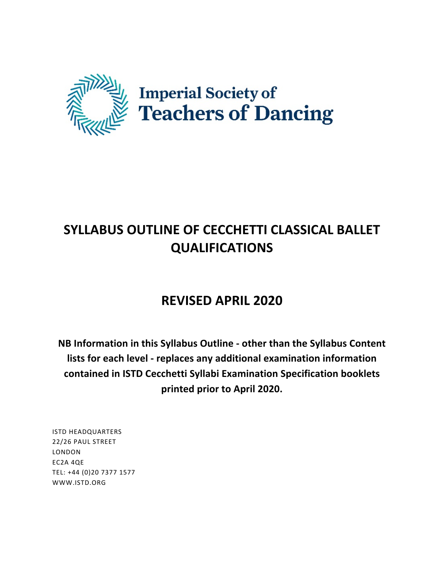

# **SYLLABUS OUTLINE OF CECCHETTI CLASSICAL BALLET QUALIFICATIONS**

# **REVISED APRIL 2020**

**NB Information in this Syllabus Outline - other than the Syllabus Content lists for each level - replaces any additional examination information** contained in ISTD Cecchetti Syllabi Examination Specification booklets **printed prior to April 2020.**

ISTD HEADQUARTERS 22/26 PAUL STREET LONDON EC2A 4QE TEL: +44 (0)20 7377 1577 WWW.ISTD.ORG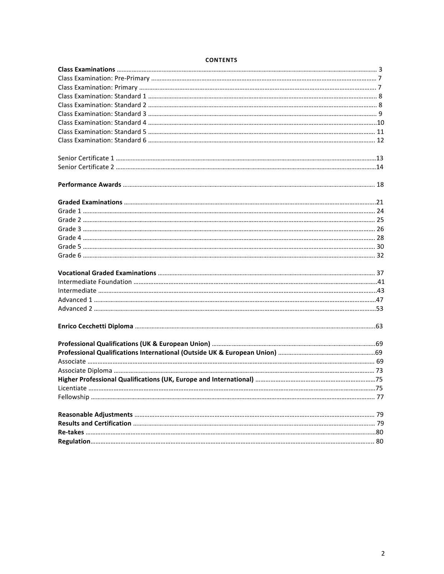# **CONTENTS**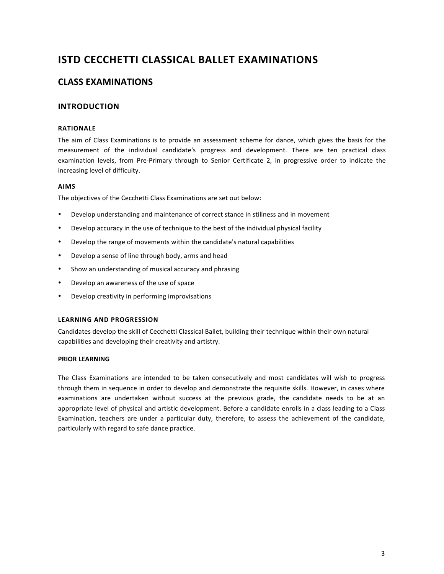# **ISTD CECCHETTI CLASSICAL BALLET EXAMINATIONS**

# **CLASS EXAMINATIONS**

# **INTRODUCTION**

# **RATIONALE**

The aim of Class Examinations is to provide an assessment scheme for dance, which gives the basis for the measurement of the individual candidate's progress and development. There are ten practical class examination levels, from Pre-Primary through to Senior Certificate 2, in progressive order to indicate the increasing level of difficulty.

# **AIMS**

The objectives of the Cecchetti Class Examinations are set out below:

- Develop understanding and maintenance of correct stance in stillness and in movement
- Develop accuracy in the use of technique to the best of the individual physical facility
- Develop the range of movements within the candidate's natural capabilities
- Develop a sense of line through body, arms and head
- Show an understanding of musical accuracy and phrasing
- Develop an awareness of the use of space
- Develop creativity in performing improvisations

# **LEARNING AND PROGRESSION**

Candidates develop the skill of Cecchetti Classical Ballet, building their technique within their own natural capabilities and developing their creativity and artistry.

# **PRIOR LEARNING**

The Class Examinations are intended to be taken consecutively and most candidates will wish to progress through them in sequence in order to develop and demonstrate the requisite skills. However, in cases where examinations are undertaken without success at the previous grade, the candidate needs to be at an appropriate level of physical and artistic development. Before a candidate enrolls in a class leading to a Class Examination, teachers are under a particular duty, therefore, to assess the achievement of the candidate, particularly with regard to safe dance practice.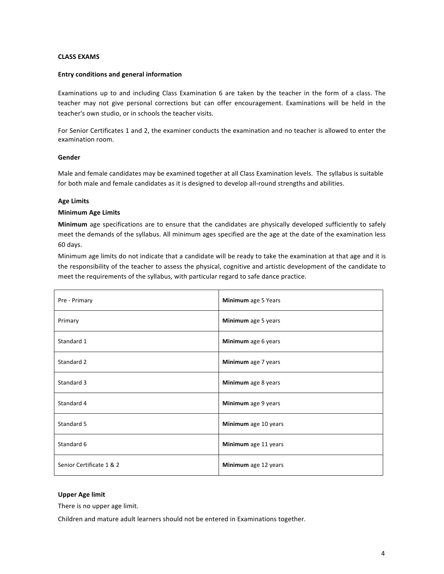### **CLASS EXAMS**

### **Entry conditions and general information**

Examinations up to and including Class Examination 6 are taken by the teacher in the form of a class. The teacher may not give personal corrections but can offer encouragement. Examinations will be held in the teacher's own studio, or in schools the teacher visits.

For Senior Certificates 1 and 2, the examiner conducts the examination and no teacher is allowed to enter the examination room.

### **Gender**

Male and female candidates may be examined together at all Class Examination levels. The syllabus is suitable for both male and female candidates as it is designed to develop all-round strengths and abilities.

### **Age Limits**

### **Minimum Age Limits**

**Minimum** age specifications are to ensure that the candidates are physically developed sufficiently to safely meet the demands of the syllabus. All minimum ages specified are the age at the date of the examination less 60 days.

Minimum age limits do not indicate that a candidate will be ready to take the examination at that age and it is the responsibility of the teacher to assess the physical, cognitive and artistic development of the candidate to meet the requirements of the syllabus, with particular regard to safe dance practice.

| Pre - Primary            | Minimum age 5 Years  |
|--------------------------|----------------------|
| Primary                  | Minimum age 5 years  |
| Standard 1               | Minimum age 6 years  |
| Standard 2               | Minimum age 7 years  |
| Standard 3               | Minimum age 8 years  |
| Standard 4               | Minimum age 9 years  |
| Standard 5               | Minimum age 10 years |
| Standard 6               | Minimum age 11 years |
| Senior Certificate 1 & 2 | Minimum age 12 years |

### **Upper Age limit**

There is no upper age limit.

Children and mature adult learners should not be entered in Examinations together.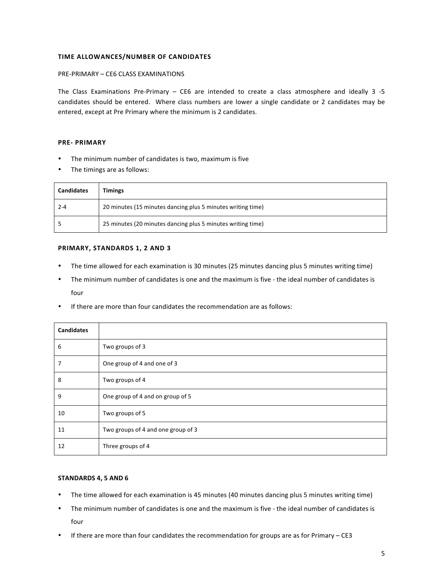### **TIME ALLOWANCES/NUMBER OF CANDIDATES**

### PRE-PRIMARY - CE6 CLASS EXAMINATIONS

The Class Examinations Pre-Primary  $-$  CE6 are intended to create a class atmosphere and ideally 3 -5 candidates should be entered. Where class numbers are lower a single candidate or 2 candidates may be entered, except at Pre Primary where the minimum is 2 candidates.

### **PRE- PRIMARY**

- The minimum number of candidates is two, maximum is five
- The timings are as follows:

| <b>Candidates</b> | <b>Timings</b>                                              |
|-------------------|-------------------------------------------------------------|
| $2 - 4$           | 20 minutes (15 minutes dancing plus 5 minutes writing time) |
|                   | 25 minutes (20 minutes dancing plus 5 minutes writing time) |

### **PRIMARY, STANDARDS 1, 2 AND 3**

- The time allowed for each examination is 30 minutes (25 minutes dancing plus 5 minutes writing time)
- The minimum number of candidates is one and the maximum is five the ideal number of candidates is four
- If there are more than four candidates the recommendation are as follows:

| <b>Candidates</b> |                                    |
|-------------------|------------------------------------|
| 6                 | Two groups of 3                    |
| 7                 | One group of 4 and one of 3        |
| 8                 | Two groups of 4                    |
| 9                 | One group of 4 and on group of 5   |
| 10                | Two groups of 5                    |
| 11                | Two groups of 4 and one group of 3 |
| 12                | Three groups of 4                  |

# **STANDARDS 4, 5 AND 6**

- The time allowed for each examination is 45 minutes (40 minutes dancing plus 5 minutes writing time)
- The minimum number of candidates is one and the maximum is five the ideal number of candidates is four
- If there are more than four candidates the recommendation for groups are as for Primary  $CE3$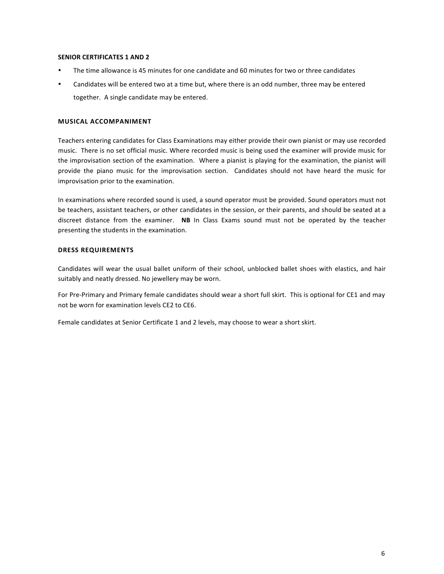### **SENIOR CERTIFICATES 1 AND 2**

- The time allowance is 45 minutes for one candidate and 60 minutes for two or three candidates
- Candidates will be entered two at a time but, where there is an odd number, three may be entered together. A single candidate may be entered.

## **MUSICAL ACCOMPANIMENT**

Teachers entering candidates for Class Examinations may either provide their own pianist or may use recorded music. There is no set official music. Where recorded music is being used the examiner will provide music for the improvisation section of the examination. Where a pianist is playing for the examination, the pianist will provide the piano music for the improvisation section. Candidates should not have heard the music for improvisation prior to the examination.

In examinations where recorded sound is used, a sound operator must be provided. Sound operators must not be teachers, assistant teachers, or other candidates in the session, or their parents, and should be seated at a discreet distance from the examiner. **NB** In Class Exams sound must not be operated by the teacher presenting the students in the examination.

### **DRESS REQUIREMENTS**

Candidates will wear the usual ballet uniform of their school, unblocked ballet shoes with elastics, and hair suitably and neatly dressed. No jewellery may be worn.

For Pre-Primary and Primary female candidates should wear a short full skirt. This is optional for CE1 and may not be worn for examination levels CF2 to CF6.

Female candidates at Senior Certificate 1 and 2 levels, may choose to wear a short skirt.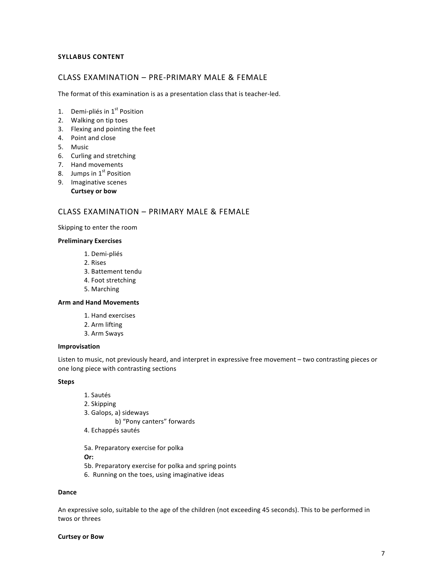# **SYLLABUS CONTENT**

# CLASS EXAMINATION - PRE-PRIMARY MALE & FEMALE

The format of this examination is as a presentation class that is teacher-led.

- 1. Demi-pliés in  $1<sup>st</sup>$  Position
- 2. Walking on tip toes
- 3. Flexing and pointing the feet
- 4. Point and close
- 5. Music
- 6. Curling and stretching
- 7. Hand movements
- 8. Jumps in  $1<sup>st</sup>$  Position
- 9. Imaginative scenes
	- **Curtsey or bow**

# CLASS EXAMINATION - PRIMARY MALE & FEMALE

Skipping to enter the room

### **Preliminary Exercises**

- 1. Demi-pliés
- 2. Rises
- 3. Battement tendu
- 4. Foot stretching
- 5. Marching

### **Arm and Hand Movements**

- 1. Hand exercises
- 2. Arm lifting
- 3. Arm Sways

#### **Improvisation**

Listen to music, not previously heard, and interpret in expressive free movement – two contrasting pieces or one long piece with contrasting sections

### **Steps**

- 1. Sautés
- 2. Skipping
- 3. Galops, a) sideways

b) "Pony canters" forwards

4. Echappés sautés

5a. Preparatory exercise for polka

**Or:**

- 5b. Preparatory exercise for polka and spring points
- 6. Running on the toes, using imaginative ideas

### **Dance**

An expressive solo, suitable to the age of the children (not exceeding 45 seconds). This to be performed in twos or threes

#### **Curtsey or Bow**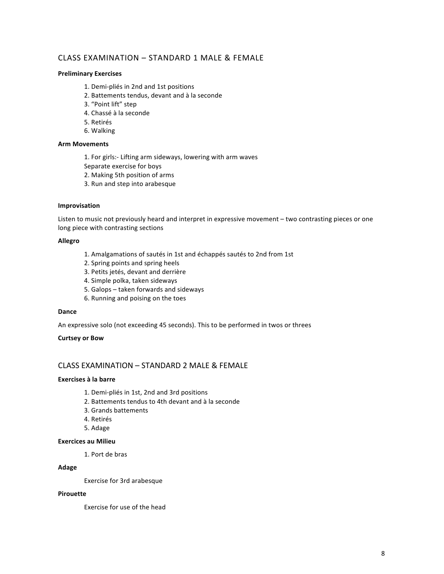# CLASS EXAMINATION - STANDARD 1 MALE & FEMALE

### **Preliminary Exercises**

- 1. Demi-pliés in 2nd and 1st positions
- 2. Battements tendus, devant and à la seconde
- 3. "Point lift" step
- 4. Chassé à la seconde
- 5. Retirés
- 6. Walking

# **Arm Movements**

- 1. For girls:- Lifting arm sideways, lowering with arm waves
- Separate exercise for boys
- 2. Making 5th position of arms
- 3. Run and step into arabesque

### **Improvisation**

Listen to music not previously heard and interpret in expressive movement - two contrasting pieces or one long piece with contrasting sections

### **Allegro**

- 1. Amalgamations of sautés in 1st and échappés sautés to 2nd from 1st
- 2. Spring points and spring heels
- 3. Petits jetés, devant and derrière
- 4. Simple polka, taken sideways
- 5. Galops taken forwards and sideways
- 6. Running and poising on the toes

### **Dance**

An expressive solo (not exceeding 45 seconds). This to be performed in twos or threes

### **Curtsey or Bow**

# CLASS EXAMINATION - STANDARD 2 MALE & FEMALE

### **Exercises à la barre**

- 1. Demi-pliés in 1st, 2nd and 3rd positions
- 2. Battements tendus to 4th devant and à la seconde
- 3. Grands battements
- 4. Retirés
- 5. Adage

# **Exercices au Milieu**

1. Port de bras

### **Adage**

Exercise for 3rd arabesque

### **Pirouette**

Exercise for use of the head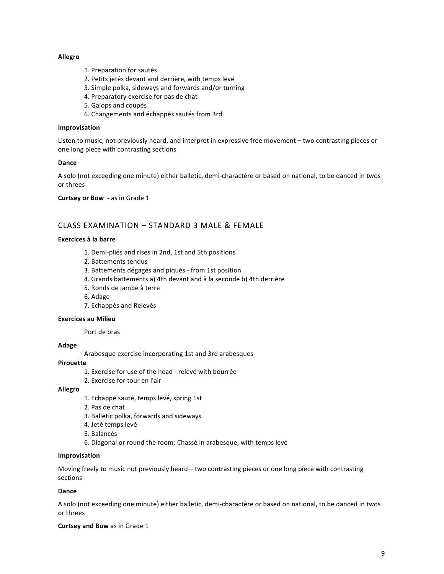### **Allegro**

- 1. Preparation for sautés
- 2. Petits jetés devant and derrière, with temps levé
- 3. Simple polka, sideways and forwards and/or turning
- 4. Preparatory exercise for pas de chat
- 5. Galops and coupés
- 6. Changements and échappés sautés from 3rd

### **Improvisation**

Listen to music, not previously heard, and interpret in expressive free movement - two contrasting pieces or one long piece with contrasting sections

### **Dance**

A solo (not exceeding one minute) either balletic, demi-charactère or based on national, to be danced in twos or threes 

**Curtsey or Bow** - as in Grade 1

# CLASS EXAMINATION - STANDARD 3 MALE & FEMALE

### **Exercices à la barre**

- 1. Demi-pliés and rises in 2nd, 1st and 5th positions
- 2. Battements tendus
- 3. Battements dégagés and piqués from 1st position
- 4. Grands battements a) 4th devant and à la seconde b) 4th derrière
- 5. Ronds de jambe à terre
- 6. Adage
- 7. Echappés and Relevés

### **Exercices au Milieu**

Port de bras

# **Adage**

Arabesque exercise incorporating 1st and 3rd arabesques

### **Pirouette**

- 1. Exercise for use of the head relevé with bourrée
- 2. Exercise for tour en l'air

### **Allegro**

- 1. Echappé sauté, temps levé, spring 1st
- 2. Pas de chat
- 3. Balletic polka, forwards and sideways
- 4. Jeté temps levé
- 5. Balancés
- 6. Diagonal or round the room: Chassé in arabesque, with temps levé

### **Improvisation**

Moving freely to music not previously heard – two contrasting pieces or one long piece with contrasting sections

# **Dance**

A solo (not exceeding one minute) either balletic, demi-charactère or based on national, to be danced in twos or threes

### **Curtsey and Bow** as in Grade 1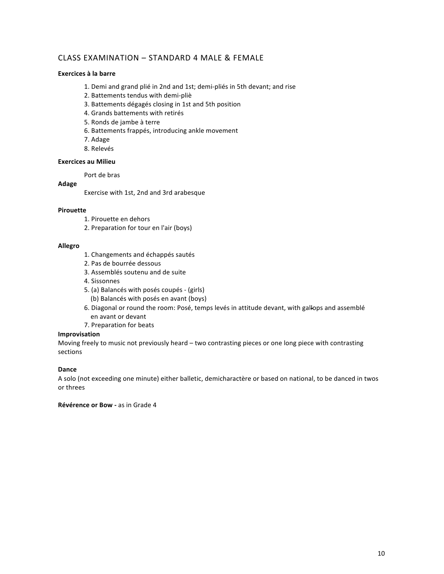# CLASS EXAMINATION - STANDARD 4 MALE & FEMALE

# **Exercices à la barre**

- 1. Demi and grand plié in 2nd and 1st; demi-pliés in 5th devant; and rise
- 2. Battements tendus with demi-pliè
- 3. Battements dégagés closing in 1st and 5th position
- 4. Grands battements with retirés
- 5. Ronds de jambe à terre
- 6. Battements frappés, introducing ankle movement
- 7. Adage
- 8. Relevés

# **Exercices au Milieu**

Port de bras

### **Adage**

Exercise with 1st, 2nd and 3rd arabesque

### **Pirouette**

- 1. Pirouette en dehors
- 2. Preparation for tour en l'air (boys)

### **Allegro**

- 1. Changements and échappés sautés
- 2. Pas de bourrée dessous
- 3. Assemblés soutenu and de suite
- 4. Sissonnes
- 5. (a) Balancés with posés coupés (girls) (b) Balancés with posés en avant (boys)
- 6. Diagonal or round the room: Posé, temps levés in attitude devant, with gallops and assemblé en avant or devant
- 7. Preparation for beats

# **Improvisation**

Moving freely to music not previously heard - two contrasting pieces or one long piece with contrasting sections

# **Dance**

A solo (not exceeding one minute) either balletic, demicharactère or based on national, to be danced in twos or threes

## **Révérence or Bow - as in Grade 4**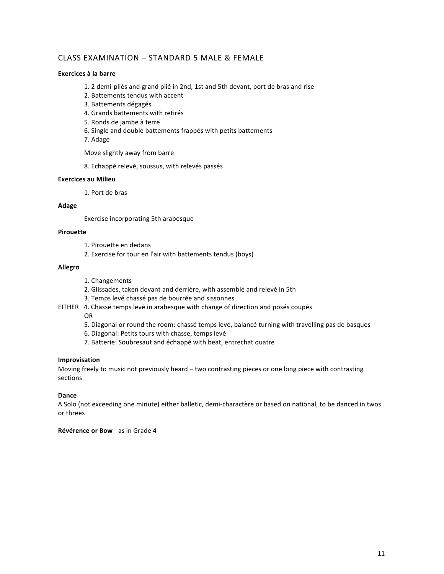# CLASS EXAMINATION - STANDARD 5 MALE & FEMALE

### **Exercices à la barre**

- 1. 2 demi-pliés and grand plié in 2nd, 1st and 5th devant, port de bras and rise
- 2. Battements tendus with accent
- 3. Battements dégagés
- 4. Grands battements with retirés
- 5. Ronds de jambe à terre
- 6. Single and double battements frappés with petits battements
- 7. Adage

Move slightly away from barre

8. Echappé relevé, soussus, with relevés passés

### **Exercices au Milieu**

1. Port de bras 

### **Adage**

Exercise incorporating 5th arabesque

### **Pirouette**

- 1. Pirouette en dedans
- 2. Exercise for tour en l'air with battements tendus (boys)

### **Allegro**

- 1. Changements
- 2. Glissades, taken devant and derrière, with assemblé and relevé in 5th
- 3. Temps levé chassé pas de bourrée and sissonnes
- EITHER 4. Chassé temps levé in arabesque with change of direction and posés coupés
	- OR
	- 5. Diagonal or round the room: chassé temps levé, balancé turning with travelling pas de basques
	- 6. Diagonal: Petits tours with chasse, temps levé
	- 7. Batterie: Soubresaut and échappé with beat, entrechat quatre

### **Improvisation**

Moving freely to music not previously heard – two contrasting pieces or one long piece with contrasting sections

# **Dance**

A Solo (not exceeding one minute) either balletic, demi-charactère or based on national, to be danced in twos or threes 

## **Révérence or Bow - as in Grade 4**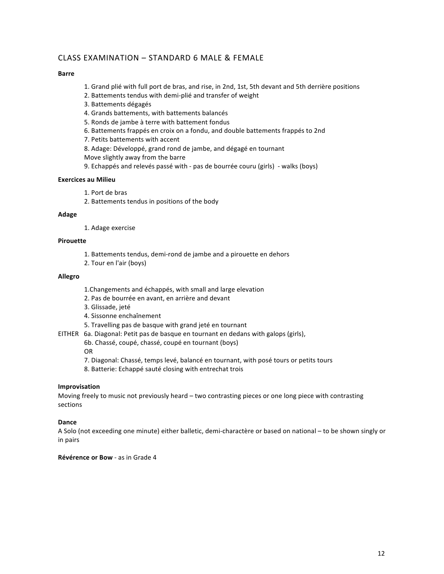# $C$ LASS EXAMINATION – STANDARD 6 MALE & FEMALE

### **Barre**

- 1. Grand plié with full port de bras, and rise, in 2nd, 1st, 5th devant and 5th derrière positions
- 2. Battements tendus with demi-plié and transfer of weight
- 3. Battements dégagés
- 4. Grands battements, with battements balancés
- 5. Ronds de jambe à terre with battement fondus
- 6. Battements frappés en croix on a fondu, and double battements frappés to 2nd
- 7. Petits battements with accent
- 8. Adage: Développé, grand rond de jambe, and dégagé en tournant
- Move slightly away from the barre
- 9. Echappés and relevés passé with pas de bourrée couru (girls) walks (boys)

# **Exercices au Milieu**

- 1. Port de bras
- 2. Battements tendus in positions of the body

### **Adage**

1. Adage exercise

# **Pirouette**

- 1. Battements tendus, demi-rond de jambe and a pirouette en dehors
- 2. Tour en l'air (boys)

### **Allegro**

- 1. Changements and échappés, with small and large elevation
- 2. Pas de bourrée en avant, en arrière and devant
- 3. Glissade, jeté
- 4. Sissonne enchaînement
- 5. Travelling pas de basque with grand jeté en tournant
- EITHER 6a. Diagonal: Petit pas de basque en tournant en dedans with galops (girls),
	- 6b. Chassé, coupé, chassé, coupé en tournant (boys)
	- OR
	- 7. Diagonal: Chassé, temps levé, balancé en tournant, with posé tours or petits tours
	- 8. Batterie: Echappé sauté closing with entrechat trois

# **Improvisation**

Moving freely to music not previously heard  $-$  two contrasting pieces or one long piece with contrasting sections

# **Dance**

A Solo (not exceeding one minute) either balletic, demi-charactère or based on national - to be shown singly or in pairs

**Révérence or Bow - as in Grade 4**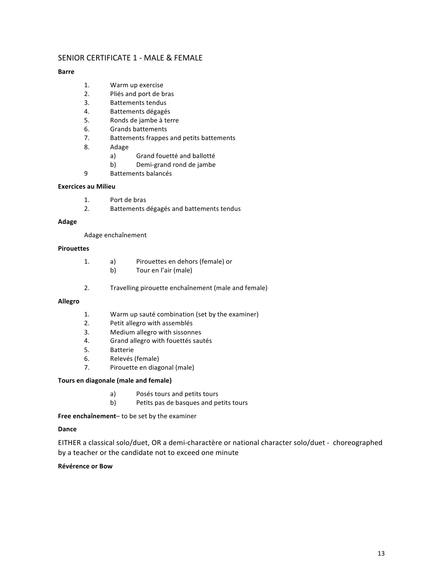# SENIOR CERTIFICATE 1 - MALE & FEMALE

# **Barre**

- 1. Warm up exercise
- 2. Pliés and port de bras
- 3. Battements tendus
- 4. Battements dégagés
- 5. Ronds de jambe à terre
- 6. Grands battements
- 7. Battements frappes and petits battements
- 8. Adage
	- a) Grand fouetté and ballotté
	- b) Demi-grand rond de jambe
- 9 Battements balancés

# **Exercices au Milieu**

- 1. Port de bras
- 2. Battements dégagés and battements tendus

### **Adage**

Adage enchaînement

# **Pirouettes**

- 1. a) Pirouettes en dehors (female) or b) Tour en l'air (male)
- 2. Travelling pirouette enchaînement (male and female)

### **Allegro**

- 1. Warm up sauté combination (set by the examiner)
- 2. Petit allegro with assemblés
- 3. Medium allegro with sissonnes
- 4. Grand allegro with fouettés sautés
- 5. Batterie
- 6. Relevés (female)
- 7. Pirouette en diagonal (male)

# **Tours en diagonale (male and female)**

- a) Posés tours and petits tours
- b) Petits pas de basques and petits tours

Free enchaînement- to be set by the examiner

# **Dance**

EITHER a classical solo/duet, OR a demi-charactère or national character solo/duet - choreographed by a teacher or the candidate not to exceed one minute

# **Révérence or Bow**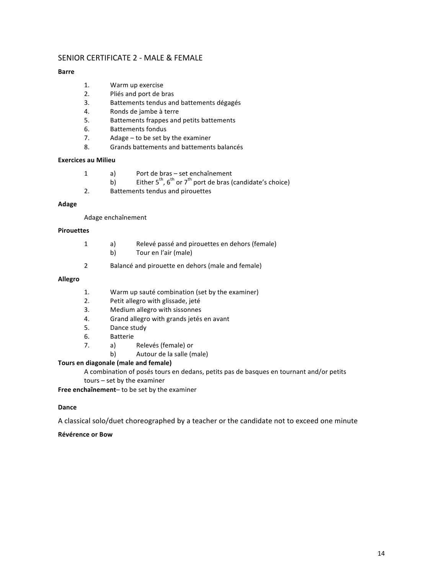# SENIOR CERTIFICATE 2 - MALE & FEMALE

# **Barre**

- 1. Warm up exercise
- 2. Pliés and port de bras
- 3. Battements tendus and battements dégagés
- 4. Ronds de jambe à terre
- 5. Battements frappes and petits battements
- 6. Battements fondus
- 7.  $\blacksquare$  Adage to be set by the examiner
- 8. Grands battements and battements balancés

### **Exercices au Milieu**

| a) | Port de bras – set enchaînement                                          |
|----|--------------------------------------------------------------------------|
| b) | Either $5^{th}$ , $6^{th}$ or $7^{th}$ port de bras (candidate's choice) |
|    | Battements tendus and pirouettes                                         |

### **Adage**

Adage enchaînement

### **Pirouettes**

| a) | Relevé passé and pirouettes en dehors (female) |
|----|------------------------------------------------|
| b) | Tour en l'air (male)                           |

2 Balancé and pirouette en dehors (male and female)

# **Allegro**

- 1. Warm up sauté combination (set by the examiner)
- 2. Petit allegro with glissade, jeté
- 3. Medium allegro with sissonnes
- 4. Grand allegro with grands jetés en avant
- 5. Dance study
- 6. Batterie
- 7. a) Relevés (female) or
	- b) Autour de la salle (male)

# **Tours en diagonale (male and female)**

A combination of posés tours en dedans, petits pas de basques en tournant and/or petits

 $tours - set by the examiner$ 

Free enchaînement- to be set by the examiner

### **Dance**

A classical solo/duet choreographed by a teacher or the candidate not to exceed one minute

# **Révérence or Bow**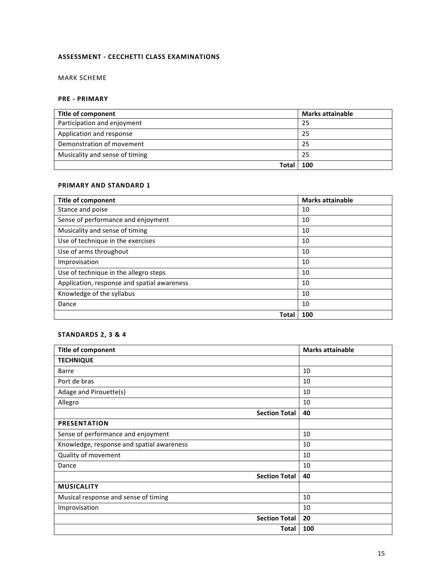# **ASSESSMENT - CECCHETTI CLASS EXAMINATIONS**

# MARK SCHEME

# **PRE - PRIMARY**

| <b>Title of component</b>      | <b>Marks attainable</b> |
|--------------------------------|-------------------------|
| Participation and enjoyment    | 25                      |
| Application and response       | 25                      |
| Demonstration of movement      | 25                      |
| Musicality and sense of timing | 25                      |
| Tota                           | 100                     |

# **PRIMARY AND STANDARD 1**

| <b>Title of component</b>                   | <b>Marks attainable</b> |
|---------------------------------------------|-------------------------|
| Stance and poise                            | 10                      |
| Sense of performance and enjoyment          | 10                      |
| Musicality and sense of timing              | 10                      |
| Use of technique in the exercises           | 10                      |
| Use of arms throughout                      | 10                      |
| Improvisation                               | 10                      |
| Use of technique in the allegro steps       | 10                      |
| Application, response and spatial awareness | 10                      |
| Knowledge of the syllabus                   | 10                      |
| Dance                                       | 10                      |
| Total                                       | 100                     |

# **STANDARDS 2, 3 & 4**

| <b>Title of component</b>                 | <b>Marks attainable</b> |
|-------------------------------------------|-------------------------|
| <b>TECHNIQUE</b>                          |                         |
| <b>Barre</b>                              | 10                      |
| Port de bras                              | 10                      |
| Adage and Pirouette(s)                    | 10                      |
| Allegro                                   | 10                      |
| <b>Section Total</b>                      | 40                      |
| <b>PRESENTATION</b>                       |                         |
| Sense of performance and enjoyment        | 10                      |
| Knowledge, response and spatial awareness | 10                      |
| Quality of movement                       | 10                      |
| Dance                                     | 10                      |
| <b>Section Total</b>                      | 40                      |
| <b>MUSICALITY</b>                         |                         |
| Musical response and sense of timing      | 10                      |
| Improvisation                             | 10                      |
| <b>Section Total</b>                      | 20                      |
| Total                                     | 100                     |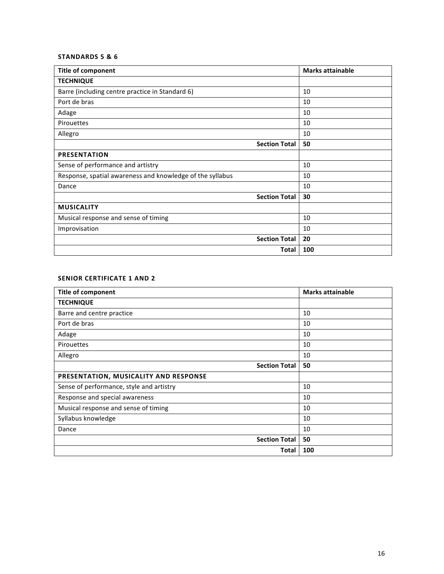# **STANDARDS 5 & 6**

| <b>Title of component</b>                                 | <b>Marks attainable</b> |
|-----------------------------------------------------------|-------------------------|
| <b>TECHNIQUE</b>                                          |                         |
| Barre (including centre practice in Standard 6)           | 10                      |
| Port de bras                                              | 10                      |
| Adage                                                     | 10                      |
| Pirouettes                                                | 10                      |
| Allegro                                                   | 10                      |
| <b>Section Total</b>                                      | 50                      |
| <b>PRESENTATION</b>                                       |                         |
| Sense of performance and artistry                         | 10                      |
| Response, spatial awareness and knowledge of the syllabus | 10                      |
| Dance                                                     | 10                      |
| <b>Section Total</b>                                      | 30                      |
| <b>MUSICALITY</b>                                         |                         |
| Musical response and sense of timing                      | 10                      |
| Improvisation                                             | 10                      |
| <b>Section Total</b>                                      | 20                      |
| <b>Total</b>                                              | 100                     |

# **SENIOR CERTIFICATE 1 AND 2**

| <b>Title of component</b>                | <b>Marks attainable</b> |
|------------------------------------------|-------------------------|
| <b>TECHNIQUE</b>                         |                         |
| Barre and centre practice                | 10                      |
| Port de bras                             | 10                      |
| Adage                                    | 10                      |
| Pirouettes                               | 10                      |
| Allegro                                  | 10                      |
| <b>Section Total</b>                     | 50                      |
| PRESENTATION, MUSICALITY AND RESPONSE    |                         |
| Sense of performance, style and artistry | 10                      |
| Response and special awareness           | 10                      |
| Musical response and sense of timing     | 10                      |
| Syllabus knowledge                       | 10                      |
| Dance                                    | 10                      |
| <b>Section Total</b>                     | 50                      |
| Total                                    | 100                     |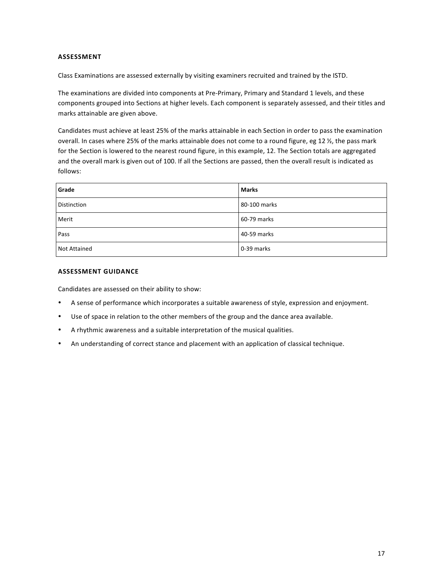### **ASSESSMENT**

Class Examinations are assessed externally by visiting examiners recruited and trained by the ISTD.

The examinations are divided into components at Pre-Primary, Primary and Standard 1 levels, and these components grouped into Sections at higher levels. Each component is separately assessed, and their titles and marks attainable are given above.

Candidates must achieve at least 25% of the marks attainable in each Section in order to pass the examination overall. In cases where 25% of the marks attainable does not come to a round figure, eg 12 %, the pass mark for the Section is lowered to the nearest round figure, in this example, 12. The Section totals are aggregated and the overall mark is given out of 100. If all the Sections are passed, then the overall result is indicated as follows:

| Grade               | <b>Marks</b> |
|---------------------|--------------|
| <b>Distinction</b>  | 80-100 marks |
| Merit               | 60-79 marks  |
| Pass                | 40-59 marks  |
| <b>Not Attained</b> | 0-39 marks   |

### **ASSESSMENT GUIDANCE**

Candidates are assessed on their ability to show:

- A sense of performance which incorporates a suitable awareness of style, expression and enjoyment.
- Use of space in relation to the other members of the group and the dance area available.
- A rhythmic awareness and a suitable interpretation of the musical qualities.
- An understanding of correct stance and placement with an application of classical technique.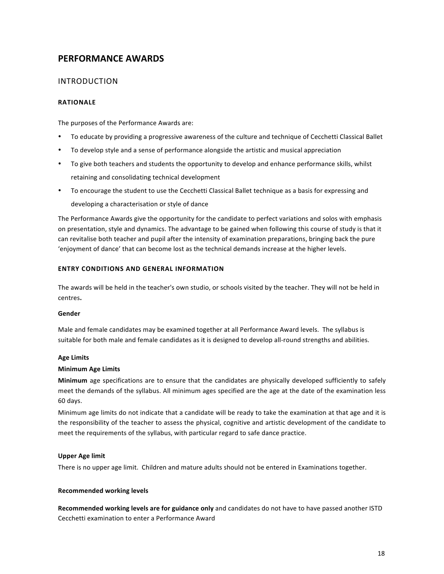# **PERFORMANCE AWARDS**

# INTRODUCTION

# **RATIONALE**

The purposes of the Performance Awards are:

- To educate by providing a progressive awareness of the culture and technique of Cecchetti Classical Ballet
- To develop style and a sense of performance alongside the artistic and musical appreciation
- To give both teachers and students the opportunity to develop and enhance performance skills, whilst retaining and consolidating technical development
- To encourage the student to use the Cecchetti Classical Ballet technique as a basis for expressing and

developing a characterisation or style of dance

The Performance Awards give the opportunity for the candidate to perfect variations and solos with emphasis on presentation, style and dynamics. The advantage to be gained when following this course of study is that it can revitalise both teacher and pupil after the intensity of examination preparations, bringing back the pure 'enjoyment of dance' that can become lost as the technical demands increase at the higher levels.

# **ENTRY CONDITIONS AND GENERAL INFORMATION**

The awards will be held in the teacher's own studio, or schools visited by the teacher. They will not be held in centres**.** 

### **Gender**

Male and female candidates may be examined together at all Performance Award levels. The syllabus is suitable for both male and female candidates as it is designed to develop all-round strengths and abilities.

### **Age Limits**

### **Minimum Age Limits**

**Minimum** age specifications are to ensure that the candidates are physically developed sufficiently to safely meet the demands of the syllabus. All minimum ages specified are the age at the date of the examination less 60 days.

Minimum age limits do not indicate that a candidate will be ready to take the examination at that age and it is the responsibility of the teacher to assess the physical, cognitive and artistic development of the candidate to meet the requirements of the syllabus, with particular regard to safe dance practice.

### **Upper Age limit**

There is no upper age limit. Children and mature adults should not be entered in Examinations together.

# **Recommended working levels**

Recommended working levels are for guidance only and candidates do not have to have passed another ISTD Cecchetti examination to enter a Performance Award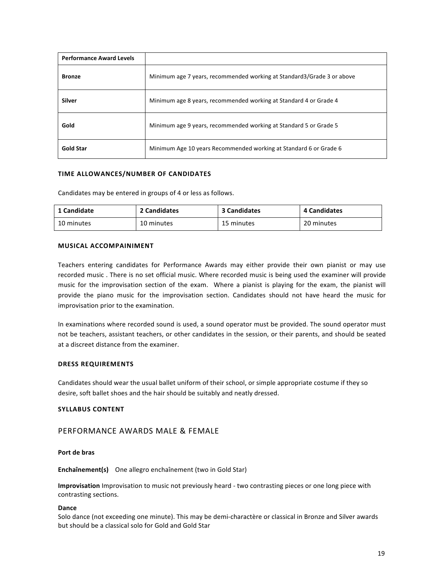| <b>Performance Award Levels</b> |                                                                        |
|---------------------------------|------------------------------------------------------------------------|
| <b>Bronze</b>                   | Minimum age 7 years, recommended working at Standard3/Grade 3 or above |
| <b>Silver</b>                   | Minimum age 8 years, recommended working at Standard 4 or Grade 4      |
| Gold                            | Minimum age 9 years, recommended working at Standard 5 or Grade 5      |
| <b>Gold Star</b>                | Minimum Age 10 years Recommended working at Standard 6 or Grade 6      |

### **TIME ALLOWANCES/NUMBER OF CANDIDATES**

Candidates may be entered in groups of 4 or less as follows.

| 1 Candidate | 2 Candidates | 3 Candidates | 4 Candidates |
|-------------|--------------|--------------|--------------|
| 10 minutes  | 10 minutes   | 15 minutes   | 20 minutes   |

### **MUSICAL ACCOMPAINIMENT**

Teachers entering candidates for Performance Awards may either provide their own pianist or may use recorded music . There is no set official music. Where recorded music is being used the examiner will provide music for the improvisation section of the exam. Where a pianist is playing for the exam, the pianist will provide the piano music for the improvisation section. Candidates should not have heard the music for improvisation prior to the examination.

In examinations where recorded sound is used, a sound operator must be provided. The sound operator must not be teachers, assistant teachers, or other candidates in the session, or their parents, and should be seated at a discreet distance from the examiner.

### **DRESS REQUIREMENTS**

Candidates should wear the usual ballet uniform of their school, or simple appropriate costume if they so desire, soft ballet shoes and the hair should be suitably and neatly dressed.

### **SYLLABUS CONTENT**

# PERFORMANCE AWARDS MALE & FEMALE

### **Port de bras**

**Enchaînement(s)** One allegro enchaînement (two in Gold Star)

**Improvisation** Improvisation to music not previously heard - two contrasting pieces or one long piece with contrasting sections.

### **Dance**

Solo dance (not exceeding one minute). This may be demi-charactère or classical in Bronze and Silver awards but should be a classical solo for Gold and Gold Star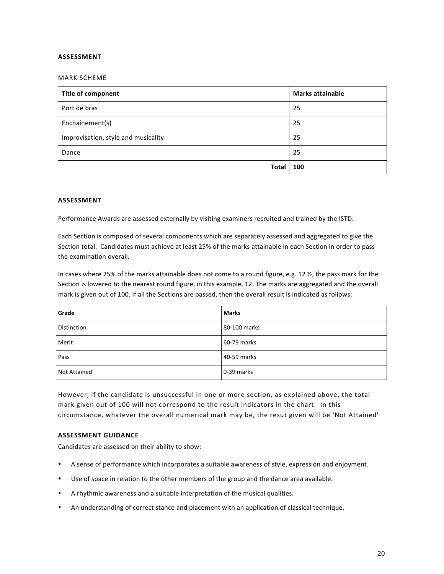### **ASSESSMENT**

### MARK SCHEME

| Title of component                  | <b>Marks attainable</b> |
|-------------------------------------|-------------------------|
| Port de bras                        | 25                      |
| Enchaînement(s)                     | 25                      |
| Improvisation, style and musicality | 25                      |
| Dance                               | 25                      |
| <b>Total</b>                        | 100                     |

### **ASSESSMENT**

Performance Awards are assessed externally by visiting examiners recruited and trained by the ISTD.

Each Section is composed of several components which are separately assessed and aggregated to give the Section total. Candidates must achieve at least 25% of the marks attainable in each Section in order to pass the examination overall.

In cases where 25% of the marks attainable does not come to a round figure, e.g. 12  $\frac{1}{2}$ , the pass mark for the Section is lowered to the nearest round figure, in this example, 12. The marks are aggregated and the overall mark is given out of 100. If all the Sections are passed, then the overall result is indicated as follows:

| Grade               | <b>Marks</b> |
|---------------------|--------------|
| Distinction         | 80-100 marks |
| Merit               | 60-79 marks  |
| Pass                | 40-59 marks  |
| <b>Not Attained</b> | 0-39 marks   |

However, if the candidate is unsuccessful in one or more section, as explained above, the total mark given out of 100 will not correspond to the result indicators in the chart. In this circumstance, whatever the overall numerical mark may be, the resut given will be 'Not Attained'

### **ASSESSMENT GUIDANCE**

Candidates are assessed on their ability to show:

- A sense of performance which incorporates a suitable awareness of style, expression and enjoyment.
- Use of space in relation to the other members of the group and the dance area available.
- A rhythmic awareness and a suitable interpretation of the musical qualities.
- An understanding of correct stance and placement with an application of classical technique.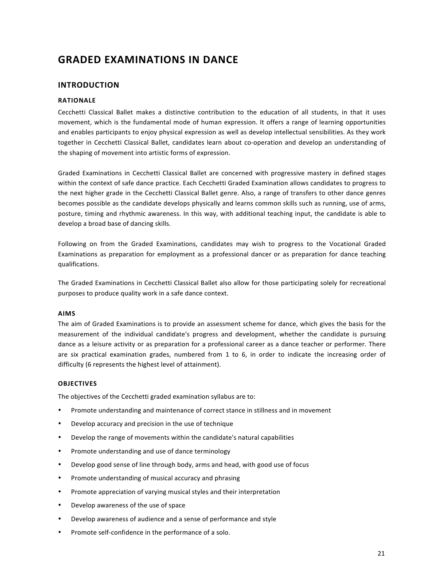# **GRADED EXAMINATIONS IN DANCE**

# **INTRODUCTION**

# **RATIONALE**

Cecchetti Classical Ballet makes a distinctive contribution to the education of all students, in that it uses movement, which is the fundamental mode of human expression. It offers a range of learning opportunities and enables participants to enjoy physical expression as well as develop intellectual sensibilities. As they work together in Cecchetti Classical Ballet, candidates learn about co-operation and develop an understanding of the shaping of movement into artistic forms of expression.

Graded Examinations in Cecchetti Classical Ballet are concerned with progressive mastery in defined stages within the context of safe dance practice. Each Cecchetti Graded Examination allows candidates to progress to the next higher grade in the Cecchetti Classical Ballet genre. Also, a range of transfers to other dance genres becomes possible as the candidate develops physically and learns common skills such as running, use of arms, posture, timing and rhythmic awareness. In this way, with additional teaching input, the candidate is able to develop a broad base of dancing skills.

Following on from the Graded Examinations, candidates may wish to progress to the Vocational Graded Examinations as preparation for employment as a professional dancer or as preparation for dance teaching qualifications. 

The Graded Examinations in Cecchetti Classical Ballet also allow for those participating solely for recreational purposes to produce quality work in a safe dance context.

# **AIMS**

The aim of Graded Examinations is to provide an assessment scheme for dance, which gives the basis for the measurement of the individual candidate's progress and development, whether the candidate is pursuing dance as a leisure activity or as preparation for a professional career as a dance teacher or performer. There are six practical examination grades, numbered from  $1$  to  $6$ , in order to indicate the increasing order of difficulty (6 represents the highest level of attainment).

# **OBJECTIVES**

The objectives of the Cecchetti graded examination syllabus are to:

- Promote understanding and maintenance of correct stance in stillness and in movement
- Develop accuracy and precision in the use of technique
- Develop the range of movements within the candidate's natural capabilities
- Promote understanding and use of dance terminology
- Develop good sense of line through body, arms and head, with good use of focus
- Promote understanding of musical accuracy and phrasing
- Promote appreciation of varying musical styles and their interpretation
- Develop awareness of the use of space
- Develop awareness of audience and a sense of performance and style
- Promote self-confidence in the performance of a solo.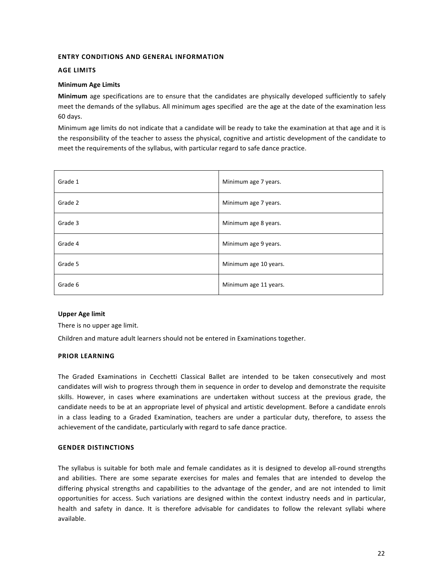# **ENTRY CONDITIONS AND GENERAL INFORMATION**

### **AGE LIMITS**

### **Minimum Age Limits**

**Minimum** age specifications are to ensure that the candidates are physically developed sufficiently to safely meet the demands of the syllabus. All minimum ages specified are the age at the date of the examination less 60 days.

Minimum age limits do not indicate that a candidate will be ready to take the examination at that age and it is the responsibility of the teacher to assess the physical, cognitive and artistic development of the candidate to meet the requirements of the syllabus, with particular regard to safe dance practice.

| Grade 1 | Minimum age 7 years.  |
|---------|-----------------------|
| Grade 2 | Minimum age 7 years.  |
| Grade 3 | Minimum age 8 years.  |
| Grade 4 | Minimum age 9 years.  |
| Grade 5 | Minimum age 10 years. |
| Grade 6 | Minimum age 11 years. |

### **Upper Age limit**

There is no upper age limit.

Children and mature adult learners should not be entered in Examinations together.

### **PRIOR LEARNING**

The Graded Examinations in Cecchetti Classical Ballet are intended to be taken consecutively and most candidates will wish to progress through them in sequence in order to develop and demonstrate the requisite skills. However, in cases where examinations are undertaken without success at the previous grade, the candidate needs to be at an appropriate level of physical and artistic development. Before a candidate enrols in a class leading to a Graded Examination, teachers are under a particular duty, therefore, to assess the achievement of the candidate, particularly with regard to safe dance practice.

### **GENDER DISTINCTIONS**

The syllabus is suitable for both male and female candidates as it is designed to develop all-round strengths and abilities. There are some separate exercises for males and females that are intended to develop the differing physical strengths and capabilities to the advantage of the gender, and are not intended to limit opportunities for access. Such variations are designed within the context industry needs and in particular, health and safety in dance. It is therefore advisable for candidates to follow the relevant syllabi where available.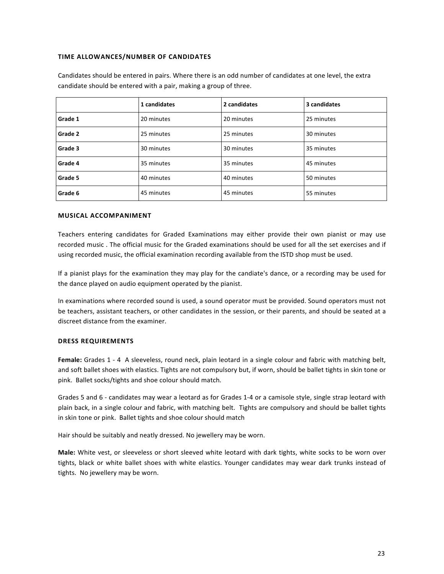### **TIME ALLOWANCES/NUMBER OF CANDIDATES**

Candidates should be entered in pairs. Where there is an odd number of candidates at one level, the extra candidate should be entered with a pair, making a group of three.

|         | 1 candidates | 2 candidates | 3 candidates |
|---------|--------------|--------------|--------------|
| Grade 1 | 20 minutes   | 20 minutes   | 25 minutes   |
| Grade 2 | 25 minutes   | 25 minutes   | 30 minutes   |
| Grade 3 | 30 minutes   | 30 minutes   | 35 minutes   |
| Grade 4 | 35 minutes   | 35 minutes   | 45 minutes   |
| Grade 5 | 40 minutes   | 40 minutes   | 50 minutes   |
| Grade 6 | 45 minutes   | 45 minutes   | 55 minutes   |

### **MUSICAL ACCOMPANIMENT**

Teachers entering candidates for Graded Examinations may either provide their own pianist or may use recorded music . The official music for the Graded examinations should be used for all the set exercises and if using recorded music, the official examination recording available from the ISTD shop must be used.

If a pianist plays for the examination they may play for the candiate's dance, or a recording may be used for the dance played on audio equipment operated by the pianist.

In examinations where recorded sound is used, a sound operator must be provided. Sound operators must not be teachers, assistant teachers, or other candidates in the session, or their parents, and should be seated at a discreet distance from the examiner.

# **DRESS REQUIREMENTS**

**Female:** Grades 1 - 4 A sleeveless, round neck, plain leotard in a single colour and fabric with matching belt, and soft ballet shoes with elastics. Tights are not compulsory but, if worn, should be ballet tights in skin tone or pink. Ballet socks/tights and shoe colour should match.

Grades 5 and 6 - candidates may wear a leotard as for Grades 1-4 or a camisole style, single strap leotard with plain back, in a single colour and fabric, with matching belt. Tights are compulsory and should be ballet tights in skin tone or pink. Ballet tights and shoe colour should match

Hair should be suitably and neatly dressed. No jewellery may be worn.

**Male:** White vest, or sleeveless or short sleeved white leotard with dark tights, white socks to be worn over tights, black or white ballet shoes with white elastics. Younger candidates may wear dark trunks instead of tights. No jewellery may be worn.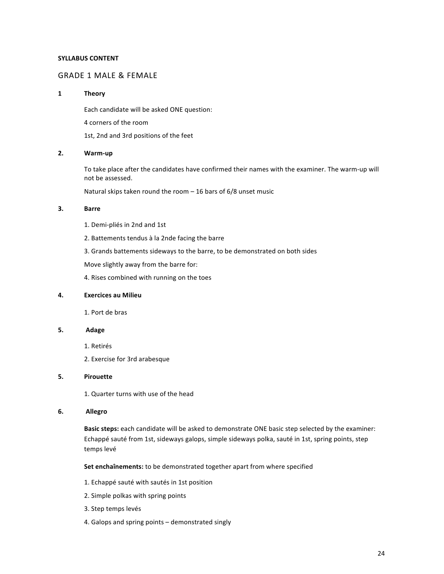# **SYLLABUS CONTENT**

# **GRADE 1 MALE & FEMALE**

### **1 Theory**

Each candidate will be asked ONE question:

4 corners of the room

1st, 2nd and 3rd positions of the feet

### **2. Warm-up**

To take place after the candidates have confirmed their names with the examiner. The warm-up will not be assessed.

Natural skips taken round the room  $-$  16 bars of 6/8 unset music

### **3. Barre**

1. Demi-pliés in 2nd and 1st

2. Battements tendus à la 2nde facing the barre

3. Grands battements sideways to the barre, to be demonstrated on both sides

Move slightly away from the barre for:

4. Rises combined with running on the toes

### **4. Exercices au Milieu**

1. Port de bras 

### **5. Adage**

- 1. Retirés
- 2. Exercise for 3rd arabesque

#### **5. Pirouette**

1. Quarter turns with use of the head

#### **6. Allegro**

**Basic steps:** each candidate will be asked to demonstrate ONE basic step selected by the examiner: Echappé sauté from 1st, sideways galops, simple sideways polka, sauté in 1st, spring points, step temps levé 

**Set enchaînements:** to be demonstrated together apart from where specified

- 1. Echappé sauté with sautés in 1st position
- 2. Simple polkas with spring points
- 3. Step temps levés
- 4. Galops and spring points demonstrated singly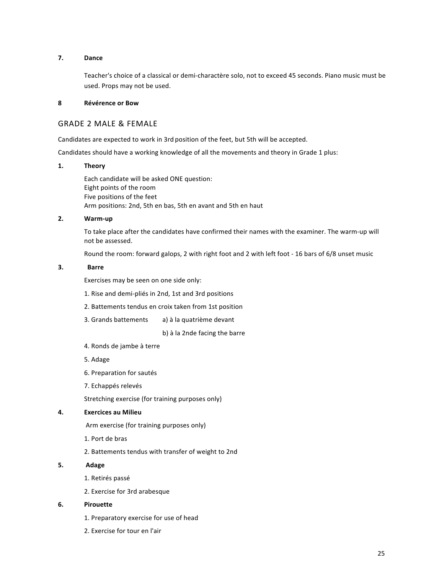## **7. Dance**

Teacher's choice of a classical or demi-charactère solo, not to exceed 45 seconds. Piano music must be used. Props may not be used.

### **8 Révérence or Bow**

# **GRADE 2 MALE & FEMALE**

Candidates are expected to work in 3rd position of the feet, but 5th will be accepted.

Candidates should have a working knowledge of all the movements and theory in Grade 1 plus:

## **1. Theory**

Each candidate will be asked ONE question: Eight points of the room Five positions of the feet Arm positions: 2nd, 5th en bas, 5th en avant and 5th en haut

# **2. Warm-up**

To take place after the candidates have confirmed their names with the examiner. The warm-up will not be assessed.

Round the room: forward galops, 2 with right foot and 2 with left foot - 16 bars of 6/8 unset music

# **3. Barre**

Exercises may be seen on one side only:

- 1. Rise and demi-pliés in 2nd, 1st and 3rd positions
- 2. Battements tendus en croix taken from 1st position
- 3. Grands battements a) à la quatrième devant

b) à la 2nde facing the barre

- 4. Ronds de jambe à terre
- 5. Adage
- 6. Preparation for sautés
- 7. Echappés relevés

Stretching exercise (for training purposes only)

# **4. Exercices au Milieu**

Arm exercise (for training purposes only)

- 1. Port de bras
- 2. Battements tendus with transfer of weight to 2nd
- **5. Adage**
	- 1. Retirés passé
	- 2. Exercise for 3rd arabesque

### **6. Pirouette**

- 1. Preparatory exercise for use of head
- 2. Exercise for tour en l'air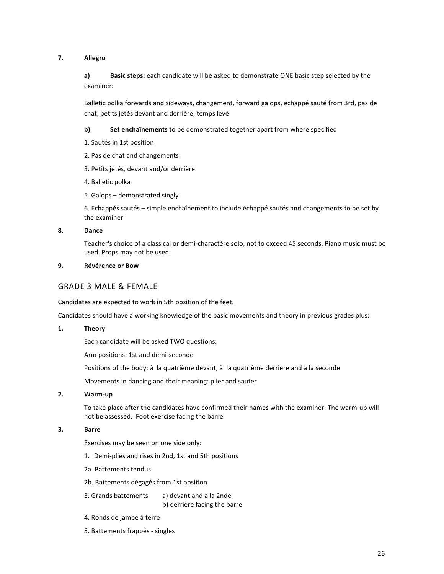# **7. Allegro**

a) **Basic steps:** each candidate will be asked to demonstrate ONE basic step selected by the examiner:

Balletic polka forwards and sideways, changement, forward galops, échappé sauté from 3rd, pas de chat, petits jetés devant and derrière, temps levé

**b)** Set enchaînements to be demonstrated together apart from where specified

- 1. Sautés in 1st position
- 2. Pas de chat and changements
- 3. Petits jetés, devant and/or derrière
- 4. Balletic polka
- 5. Galops demonstrated singly

6. Echappés sautés – simple enchaînement to include échappé sautés and changements to be set by the examiner

### **8. Dance**

Teacher's choice of a classical or demi-charactère solo, not to exceed 45 seconds. Piano music must be used. Props may not be used.

### **9. Révérence or Bow**

# **GRADE 3 MALE & FEMALE**

Candidates are expected to work in 5th position of the feet.

Candidates should have a working knowledge of the basic movements and theory in previous grades plus:

### **1. Theory**

Each candidate will be asked TWO questions:

Arm positions: 1st and demi-seconde

Positions of the body: à la quatrième devant, à la quatrième derrière and à la seconde

Movements in dancing and their meaning: plier and sauter

### **2. Warm-up**

To take place after the candidates have confirmed their names with the examiner. The warm-up will not be assessed. Foot exercise facing the barre

# **3. Barre**

Exercises may be seen on one side only:

- 1. Demi-pliés and rises in 2nd, 1st and 5th positions
- 2a. Battements tendus
- 2b. Battements dégagés from 1st position

3. Grands battements a) devant and à la 2nde b) derrière facing the barre

- 4. Ronds de jambe à terre
- 5. Battements frappés singles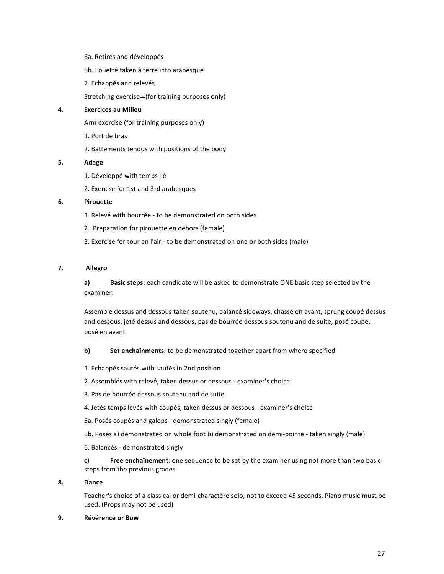- 6a. Retirés and développés
- 6b. Fouetté taken à terre into arabesque
- 7. Echappés and relevés

Stretching exercise-(for training purposes only)

### **4. Exercices au Milieu**

Arm exercise (for training purposes only)

- 1. Port de bras
- 2. Battements tendus with positions of the body

### **5. Adage**

- 1. Développé with temps lié
- 2. Exercise for 1st and 3rd arabesques

### **6. Pirouette**

- 1. Relevé with bourrée to be demonstrated on both sides
- 2. Preparation for pirouette en dehors (female)
- 3. Exercise for tour en l'air to be demonstrated on one or both sides (male)

# **7. Allegro**

a) **Basic steps:** each candidate will be asked to demonstrate ONE basic step selected by the examiner:

Assemblé dessus and dessous taken soutenu, balancé sideways, chassé en avant, sprung coupé dessus and dessous, jeté dessus and dessous, pas de bourrée dessous soutenu and de suite, posé coupé, posé en avant 

## **b)** Set enchaînments: to be demonstrated together apart from where specified

- 1. Echappés sautés with sautés in 2nd position
- 2. Assemblés with relevé, taken dessus or dessous examiner's choice
- 3. Pas de bourrée dessous soutenu and de suite
- 4. Jetés temps levés with coupés, taken dessus or dessous examiner's choice
- 5a. Posés coupés and galops demonstrated singly (female)
- 5b. Posés a) demonstrated on whole foot b) demonstrated on demi-pointe taken singly (male)
- 6. Balancés - demonstrated singly

**c) Free enchaînement**: one sequence to be set by the examiner using not more than two basic steps from the previous grades

# **8. Dance**

Teacher's choice of a classical or demi-charactère solo, not to exceed 45 seconds. Piano music must be used. (Props may not be used)

### **9. Révérence or Bow**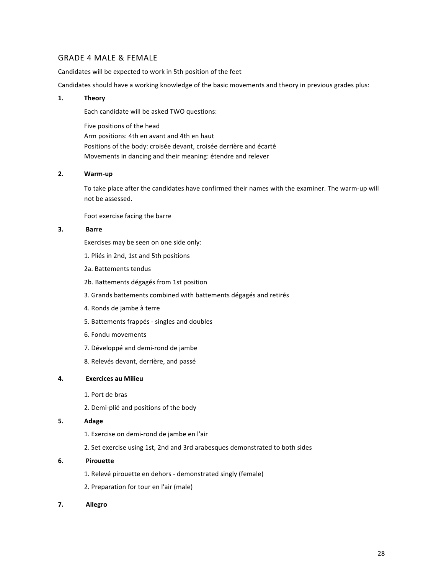# **GRADE 4 MALE & FEMALE**

Candidates will be expected to work in 5th position of the feet

Candidates should have a working knowledge of the basic movements and theory in previous grades plus:

### **1. Theory**

Each candidate will be asked TWO questions:

Five positions of the head Arm positions: 4th en avant and 4th en haut Positions of the body: croisée devant, croisée derrière and écarté Movements in dancing and their meaning: étendre and relever

### **2. Warm-up**

To take place after the candidates have confirmed their names with the examiner. The warm-up will not be assessed.

Foot exercise facing the barre

## **3. Barre**

Exercises may be seen on one side only:

- 1. Pliés in 2nd, 1st and 5th positions
- 2a. Battements tendus
- 2b. Battements dégagés from 1st position
- 3. Grands battements combined with battements dégagés and retirés
- 4. Ronds de jambe à terre
- 5. Battements frappés singles and doubles
- 6. Fondu movements
- 7. Développé and demi-rond de jambe
- 8. Relevés devant, derrière, and passé

# **4. Exercices au Milieu**

- 1. Port de bras
- 2. Demi-plié and positions of the body

### **5. Adage**

- 1. Exercise on demi-rond de jambe en l'air
- 2. Set exercise using 1st, 2nd and 3rd arabesques demonstrated to both sides

### **6. Pirouette**

- 1. Relevé pirouette en dehors demonstrated singly (female)
- 2. Preparation for tour en l'air (male)
- **7. Allegro**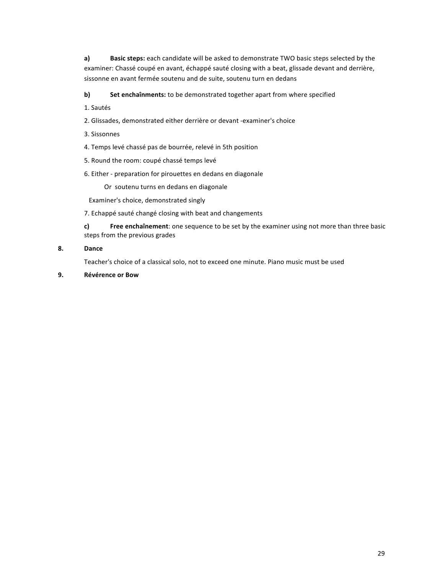a) **Basic steps:** each candidate will be asked to demonstrate TWO basic steps selected by the examiner: Chassé coupé en avant, échappé sauté closing with a beat, glissade devant and derrière, sissonne en avant fermée soutenu and de suite, soutenu turn en dedans

**b)** Set enchaînments: to be demonstrated together apart from where specified

- 1. Sautés
- 2. Glissades, demonstrated either derrière or devant -examiner's choice
- 3. Sissonnes
- 4. Temps levé chassé pas de bourrée, relevé in 5th position
- 5. Round the room: coupé chassé temps levé
- 6. Either preparation for pirouettes en dedans en diagonale

Or soutenu turns en dedans en diagonale

Examiner's choice, demonstrated singly

7. Echappé sauté changé closing with beat and changements

**c) Free enchaînement**: one sequence to be set by the examiner using not more than three basic steps from the previous grades

### **8. Dance**

Teacher's choice of a classical solo, not to exceed one minute. Piano music must be used

**9. Révérence or Bow**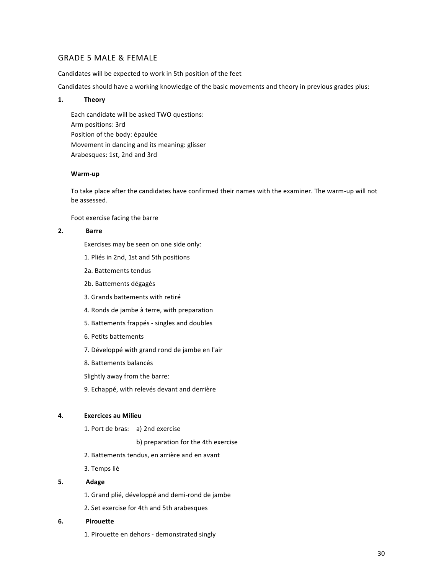# **GRADE 5 MALE & FEMALE**

Candidates will be expected to work in 5th position of the feet

Candidates should have a working knowledge of the basic movements and theory in previous grades plus:

### **1. Theory**

Each candidate will be asked TWO questions: Arm positions: 3rd Position of the body: épaulée Movement in dancing and its meaning: glisser Arabesques: 1st, 2nd and 3rd

### **Warm-up**

To take place after the candidates have confirmed their names with the examiner. The warm-up will not be assessed.

Foot exercise facing the barre

### **2. Barre**

Exercises may be seen on one side only:

- 1. Pliés in 2nd, 1st and 5th positions
- 2a. Battements tendus
- 2b. Battements dégagés
- 3. Grands battements with retiré
- 4. Ronds de jambe à terre, with preparation
- 5. Battements frappés singles and doubles
- 6. Petits battements
- 7. Développé with grand rond de jambe en l'air
- 8. Battements balancés
- Slightly away from the barre:
- 9. Echappé, with relevés devant and derrière

# **4. Exercices au Milieu**

1. Port de bras: a) 2nd exercise

b) preparation for the 4th exercise

- 2. Battements tendus, en arrière and en avant
- 3. Temps lié

# **5. Adage**

- 1. Grand plié, développé and demi-rond de jambe
- 2. Set exercise for 4th and 5th arabesques

### **6. Pirouette**

1. Pirouette en dehors - demonstrated singly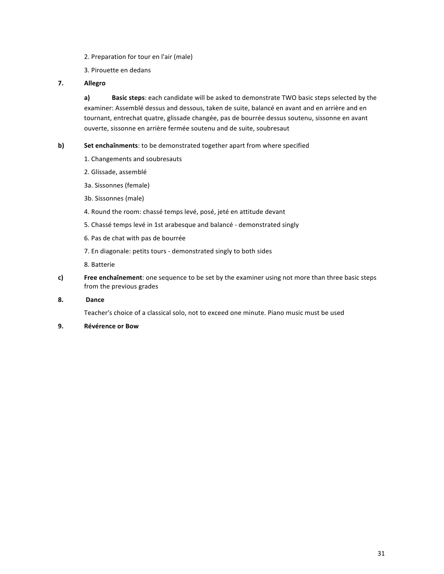- 2. Preparation for tour en l'air (male)
- 3. Pirouette en dedans
- **7. Allegro**

**a) Basic steps**: each candidate will be asked to demonstrate TWO basic steps selected by the examiner: Assemblé dessus and dessous, taken de suite, balancé en avant and en arrière and en tournant, entrechat quatre, glissade changée, pas de bourrée dessus soutenu, sissonne en avant ouverte, sissonne en arrière fermée soutenu and de suite, soubresaut

- **b)** Set enchaînments: to be demonstrated together apart from where specified
	- 1. Changements and soubresauts
	- 2. Glissade, assemblé
	- 3a. Sissonnes (female)
	- 3b. Sissonnes (male)
	- 4. Round the room: chassé temps levé, posé, jeté en attitude devant
	- 5. Chassé temps levé in 1st arabesque and balancé demonstrated singly
	- 6. Pas de chat with pas de bourrée
	- 7. En diagonale: petits tours demonstrated singly to both sides
	- 8. Batterie
- **c) Free enchaînement**: one sequence to be set by the examiner using not more than three basic steps from the previous grades
- **8. Dance**

Teacher's choice of a classical solo, not to exceed one minute. Piano music must be used

**9. Révérence or Bow**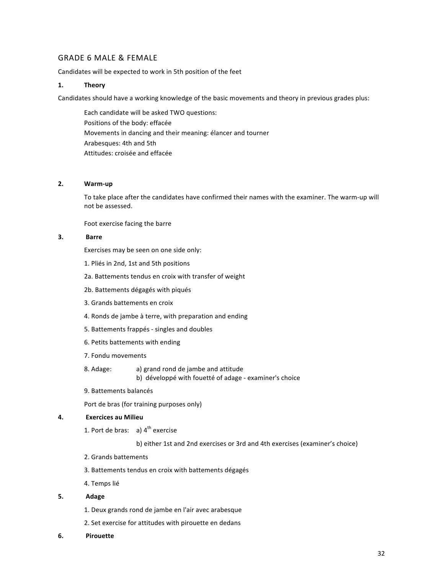# GRADE 6 MALE & FEMALE

Candidates will be expected to work in 5th position of the feet

### **1. Theory**

Candidates should have a working knowledge of the basic movements and theory in previous grades plus:

Each candidate will be asked TWO questions: Positions of the body: effacée Movements in dancing and their meaning: élancer and tourner Arabesques: 4th and 5th Attitudes: croisée and effacée

## **2. Warm-up**

To take place after the candidates have confirmed their names with the examiner. The warm-up will not be assessed.

Foot exercise facing the barre

# **3. Barre**

Exercises may be seen on one side only:

- 1. Pliés in 2nd, 1st and 5th positions
- 2a. Battements tendus en croix with transfer of weight
- 2b. Battements dégagés with piqués
- 3. Grands battements en croix
- 4. Ronds de jambe à terre, with preparation and ending
- 5. Battements frappés singles and doubles
- 6. Petits battements with ending
- 7. Fondu movements
- 8. Adage: a) grand rond de jambe and attitude

b) développé with fouetté of adage - examiner's choice

9. Battements balancés

Port de bras (for training purposes only)

### **4. Exercices au Milieu**

1. Port de bras: a)  $4<sup>th</sup>$  exercise

b) either 1st and 2nd exercises or 3rd and 4th exercises (examiner's choice)

- 2. Grands battements
- 3. Battements tendus en croix with battements dégagés
- 4. Temps lié
- **5. Adage**
	- 1. Deux grands rond de jambe en l'air avec arabesque
	- 2. Set exercise for attitudes with pirouette en dedans
- **6. Pirouette**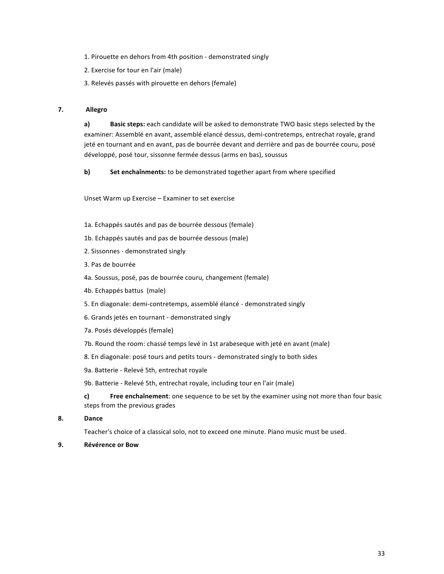- 1. Pirouette en dehors from 4th position demonstrated singly
- 2. Exercise for tour en l'air (male)
- 3. Relevés passés with pirouette en dehors (female)

### **7. Allegro**

**a) Basic steps:** each candidate will be asked to demonstrate TWO basic steps selected by the examiner: Assemblé en avant, assemblé elancé dessus, demi-contretemps, entrechat royale, grand jeté en tournant and en avant, pas de bourrée devant and derrière and pas de bourrée couru, posé développé, posé tour, sissonne fermée dessus (arms en bas), soussus

**b)** Set enchaînments: to be demonstrated together apart from where specified

Unset Warm up Exercise - Examiner to set exercise

- 1a. Echappés sautés and pas de bourrée dessous (female)
- 1b. Echappés sautés and pas de bourrée dessous (male)
- 2. Sissonnes demonstrated singly
- 3. Pas de bourrée
- 4a. Soussus, posé, pas de bourrée couru, changement (female)
- 4b. Echappés battus (male)
- 5. En diagonale: demi-contretemps, assemblé élancé demonstrated singly
- 6. Grands jetés en tournant demonstrated singly
- 7a. Posés développés (female)
- 7b. Round the room: chassé temps levé in 1st arabeseque with jeté en avant (male)
- 8. En diagonale: posé tours and petits tours demonstrated singly to both sides
- 9a. Batterie Relevé 5th, entrechat royale

9b. Batterie - Relevé 5th, entrechat royale, including tour en l'air (male)

**c) Free enchaînement**: one sequence to be set by the examiner using not more than four basic steps from the previous grades

**8. Dance**

Teacher's choice of a classical solo, not to exceed one minute. Piano music must be used.

**9. Révérence or Bow**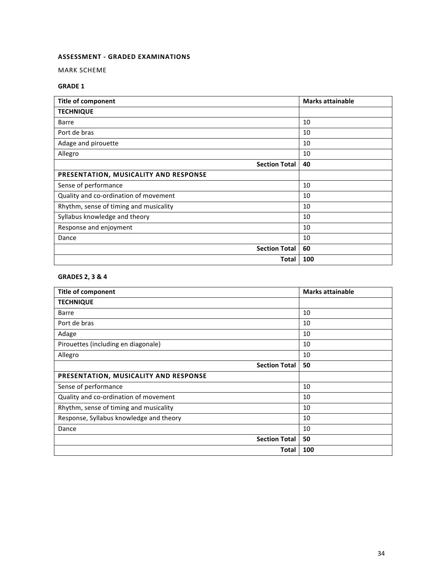# **ASSESSMENT - GRADED EXAMINATIONS**

MARK SCHEME

# **GRADE 1**

| <b>Title of component</b>              | <b>Marks attainable</b> |
|----------------------------------------|-------------------------|
| <b>TECHNIQUE</b>                       |                         |
| Barre                                  | 10                      |
| Port de bras                           | 10                      |
| Adage and pirouette                    | 10                      |
| Allegro                                | 10                      |
| <b>Section Total</b>                   | 40                      |
| PRESENTATION, MUSICALITY AND RESPONSE  |                         |
| Sense of performance                   | 10                      |
| Quality and co-ordination of movement  | 10                      |
| Rhythm, sense of timing and musicality | 10                      |
| Syllabus knowledge and theory          | 10                      |
| Response and enjoyment                 | 10                      |
| Dance                                  | 10                      |
| <b>Section Total</b>                   | 60                      |
| Total                                  | 100                     |

# **GRADES 2, 3 & 4**

| <b>Title of component</b>               | <b>Marks attainable</b> |
|-----------------------------------------|-------------------------|
| <b>TECHNIQUE</b>                        |                         |
| Barre                                   | 10                      |
| Port de bras                            | 10                      |
| Adage                                   | 10                      |
| Pirouettes (including en diagonale)     | 10                      |
| Allegro                                 | 10                      |
| <b>Section Total</b>                    | 50                      |
| PRESENTATION, MUSICALITY AND RESPONSE   |                         |
| Sense of performance                    | 10                      |
| Quality and co-ordination of movement   | 10                      |
| Rhythm, sense of timing and musicality  | 10                      |
| Response, Syllabus knowledge and theory | 10                      |
| Dance                                   | 10                      |
| <b>Section Total</b>                    | 50                      |
| Total                                   | 100                     |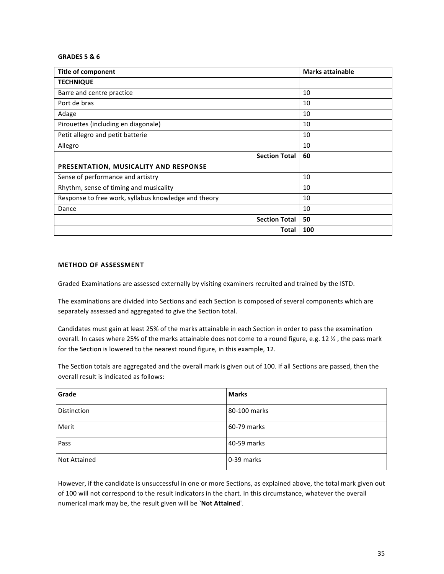### **GRADES 5 & 6**

| <b>Title of component</b>                            | <b>Marks attainable</b> |
|------------------------------------------------------|-------------------------|
| <b>TECHNIQUE</b>                                     |                         |
| Barre and centre practice                            | 10                      |
| Port de bras                                         | 10                      |
| Adage                                                | 10                      |
| Pirouettes (including en diagonale)                  | 10                      |
| Petit allegro and petit batterie                     | 10                      |
| Allegro                                              | 10                      |
| <b>Section Total</b>                                 | 60                      |
| PRESENTATION, MUSICALITY AND RESPONSE                |                         |
| Sense of performance and artistry                    | 10                      |
| Rhythm, sense of timing and musicality               | 10                      |
| Response to free work, syllabus knowledge and theory | 10                      |
| Dance                                                | 10                      |
| <b>Section Total</b>                                 | 50                      |
| Total                                                | 100                     |

# **METHOD OF ASSESSMENT**

Graded Examinations are assessed externally by visiting examiners recruited and trained by the ISTD.

The examinations are divided into Sections and each Section is composed of several components which are separately assessed and aggregated to give the Section total.

Candidates must gain at least 25% of the marks attainable in each Section in order to pass the examination overall. In cases where 25% of the marks attainable does not come to a round figure, e.g. 12 %, the pass mark for the Section is lowered to the nearest round figure, in this example, 12.

The Section totals are aggregated and the overall mark is given out of 100. If all Sections are passed, then the overall result is indicated as follows:

| Grade        | <b>Marks</b> |
|--------------|--------------|
| Distinction  | 80-100 marks |
| Merit        | 60-79 marks  |
| Pass         | 40-59 marks  |
| Not Attained | 0-39 marks   |

However, if the candidate is unsuccessful in one or more Sections, as explained above, the total mark given out of 100 will not correspond to the result indicators in the chart. In this circumstance, whatever the overall numerical mark may be, the result given will be `Not Attained'.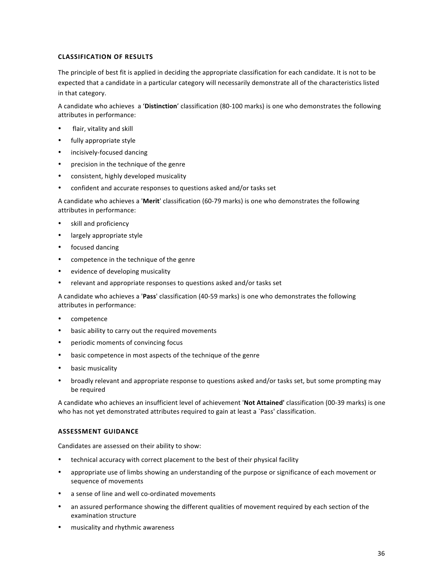# **CLASSIFICATION OF RESULTS**

The principle of best fit is applied in deciding the appropriate classification for each candidate. It is not to be expected that a candidate in a particular category will necessarily demonstrate all of the characteristics listed in that category.

A candidate who achieves a 'Distinction' classification (80-100 marks) is one who demonstrates the following attributes in performance:

- flair, vitality and skill
- fully appropriate style
- incisively-focused dancing
- precision in the technique of the genre
- consistent, highly developed musicality
- confident and accurate responses to questions asked and/or tasks set

A candidate who achieves a 'Merit' classification (60-79 marks) is one who demonstrates the following attributes in performance:

- skill and proficiency
- largely appropriate style
- focused dancing
- competence in the technique of the genre
- evidence of developing musicality
- relevant and appropriate responses to questions asked and/or tasks set

A candidate who achieves a 'Pass' classification (40-59 marks) is one who demonstrates the following attributes in performance:

- competence
- basic ability to carry out the required movements
- periodic moments of convincing focus
- basic competence in most aspects of the technique of the genre
- basic musicality
- broadly relevant and appropriate response to questions asked and/or tasks set, but some prompting may be required

A candidate who achieves an insufficient level of achievement 'Not Attained' classification (00-39 marks) is one who has not yet demonstrated attributes required to gain at least a `Pass' classification.

## **ASSESSMENT GUIDANCE**

Candidates are assessed on their ability to show:

- technical accuracy with correct placement to the best of their physical facility
- appropriate use of limbs showing an understanding of the purpose or significance of each movement or sequence of movements
- a sense of line and well co-ordinated movements
- an assured performance showing the different qualities of movement required by each section of the examination structure
- musicality and rhythmic awareness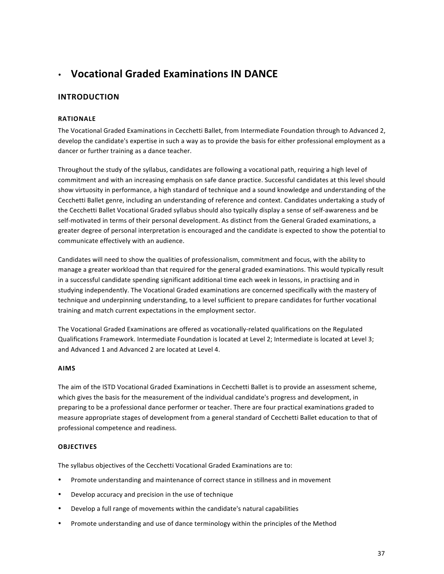# • **Vocational Graded Examinations IN DANCE**

# **INTRODUCTION**

### **RATIONALE**

The Vocational Graded Examinations in Cecchetti Ballet, from Intermediate Foundation through to Advanced 2, develop the candidate's expertise in such a way as to provide the basis for either professional employment as a dancer or further training as a dance teacher.

Throughout the study of the syllabus, candidates are following a vocational path, requiring a high level of commitment and with an increasing emphasis on safe dance practice. Successful candidates at this level should show virtuosity in performance, a high standard of technique and a sound knowledge and understanding of the Cecchetti Ballet genre, including an understanding of reference and context. Candidates undertaking a study of the Cecchetti Ballet Vocational Graded syllabus should also typically display a sense of self-awareness and be self-motivated in terms of their personal development. As distinct from the General Graded examinations, a greater degree of personal interpretation is encouraged and the candidate is expected to show the potential to communicate effectively with an audience.

Candidates will need to show the qualities of professionalism, commitment and focus, with the ability to manage a greater workload than that required for the general graded examinations. This would typically result in a successful candidate spending significant additional time each week in lessons, in practising and in studying independently. The Vocational Graded examinations are concerned specifically with the mastery of technique and underpinning understanding, to a level sufficient to prepare candidates for further vocational training and match current expectations in the employment sector.

The Vocational Graded Examinations are offered as vocationally-related qualifications on the Regulated Qualifications Framework. Intermediate Foundation is located at Level 2; Intermediate is located at Level 3; and Advanced 1 and Advanced 2 are located at Level 4.

### **AIMS**

The aim of the ISTD Vocational Graded Examinations in Cecchetti Ballet is to provide an assessment scheme, which gives the basis for the measurement of the individual candidate's progress and development, in preparing to be a professional dance performer or teacher. There are four practical examinations graded to measure appropriate stages of development from a general standard of Cecchetti Ballet education to that of professional competence and readiness.

### **OBJECTIVES**

The syllabus objectives of the Cecchetti Vocational Graded Examinations are to:

- Promote understanding and maintenance of correct stance in stillness and in movement
- Develop accuracy and precision in the use of technique
- Develop a full range of movements within the candidate's natural capabilities
- Promote understanding and use of dance terminology within the principles of the Method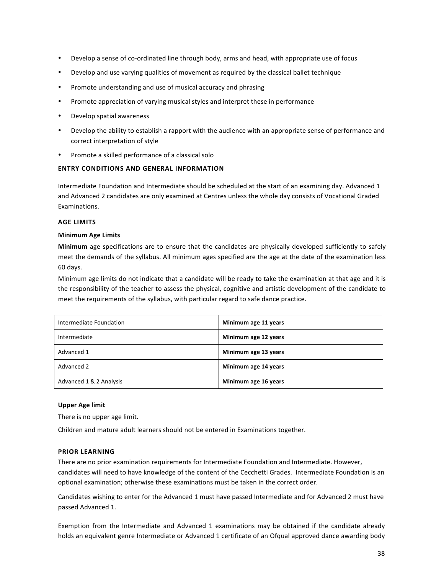- Develop a sense of co-ordinated line through body, arms and head, with appropriate use of focus
- Develop and use varying qualities of movement as required by the classical ballet technique
- Promote understanding and use of musical accuracy and phrasing
- Promote appreciation of varying musical styles and interpret these in performance
- Develop spatial awareness
- Develop the ability to establish a rapport with the audience with an appropriate sense of performance and correct interpretation of style
- Promote a skilled performance of a classical solo

### **ENTRY CONDITIONS AND GENERAL INFORMATION**

Intermediate Foundation and Intermediate should be scheduled at the start of an examining day. Advanced 1 and Advanced 2 candidates are only examined at Centres unless the whole day consists of Vocational Graded Examinations. 

### **AGE LIMITS**

### **Minimum Age Limits**

**Minimum** age specifications are to ensure that the candidates are physically developed sufficiently to safely meet the demands of the syllabus. All minimum ages specified are the age at the date of the examination less 60 days.

Minimum age limits do not indicate that a candidate will be ready to take the examination at that age and it is the responsibility of the teacher to assess the physical, cognitive and artistic development of the candidate to meet the requirements of the syllabus, with particular regard to safe dance practice.

| Intermediate Foundation | Minimum age 11 years |
|-------------------------|----------------------|
| Intermediate            | Minimum age 12 years |
| Advanced 1              | Minimum age 13 years |
| Advanced 2              | Minimum age 14 years |
| Advanced 1 & 2 Analysis | Minimum age 16 years |

### **Upper Age limit**

There is no upper age limit.

Children and mature adult learners should not be entered in Examinations together.

### **PRIOR LEARNING**

There are no prior examination requirements for Intermediate Foundation and Intermediate. However, candidates will need to have knowledge of the content of the Cecchetti Grades. Intermediate Foundation is an optional examination; otherwise these examinations must be taken in the correct order.

Candidates wishing to enter for the Advanced 1 must have passed Intermediate and for Advanced 2 must have passed Advanced 1.

Exemption from the Intermediate and Advanced 1 examinations may be obtained if the candidate already holds an equivalent genre Intermediate or Advanced 1 certificate of an Ofqual approved dance awarding body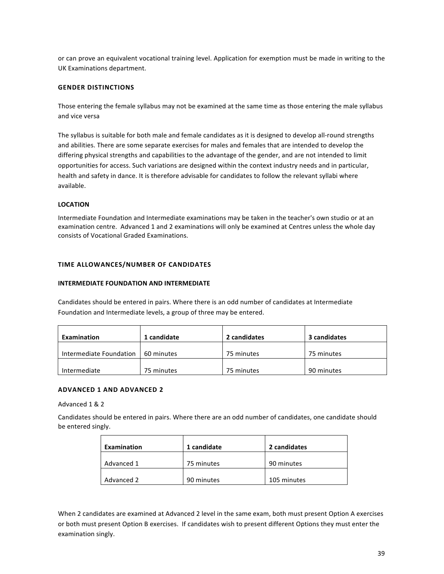or can prove an equivalent vocational training level. Application for exemption must be made in writing to the UK Examinations department.

### **GENDER DISTINCTIONS**

Those entering the female syllabus may not be examined at the same time as those entering the male syllabus and vice versa

The syllabus is suitable for both male and female candidates as it is designed to develop all-round strengths and abilities. There are some separate exercises for males and females that are intended to develop the differing physical strengths and capabilities to the advantage of the gender, and are not intended to limit opportunities for access. Such variations are designed within the context industry needs and in particular, health and safety in dance. It is therefore advisable for candidates to follow the relevant syllabi where available.

#### **LOCATION**

Intermediate Foundation and Intermediate examinations may be taken in the teacher's own studio or at an examination centre. Advanced 1 and 2 examinations will only be examined at Centres unless the whole day consists of Vocational Graded Examinations.

#### **TIME ALLOWANCES/NUMBER OF CANDIDATES**

#### **INTERMEDIATE FOUNDATION AND INTERMEDIATE**

Candidates should be entered in pairs. Where there is an odd number of candidates at Intermediate Foundation and Intermediate levels, a group of three may be entered.

| Examination             | 1 candidate | 2 candidates | 3 candidates |
|-------------------------|-------------|--------------|--------------|
| Intermediate Foundation | 60 minutes  | 75 minutes   | 75 minutes   |
| Intermediate            | 75 minutes  |              | 90 minutes   |

### **ADVANCED 1 AND ADVANCED 2**

#### Advanced 1 & 2

Candidates should be entered in pairs. Where there are an odd number of candidates, one candidate should be entered singly.

| Examination | 1 candidate | 2 candidates |  |
|-------------|-------------|--------------|--|
| Advanced 1  | 75 minutes  | 90 minutes   |  |
| Advanced 2  | 90 minutes  | 105 minutes  |  |

When 2 candidates are examined at Advanced 2 level in the same exam, both must present Option A exercises or both must present Option B exercises. If candidates wish to present different Options they must enter the examination singly.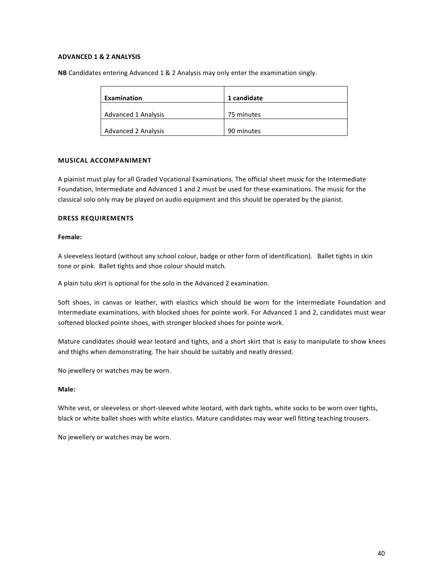### **ADVANCED 1 & 2 ANALYSIS**

**NB** Candidates entering Advanced 1 & 2 Analysis may only enter the examination singly.

| Examination                | 1 candidate |
|----------------------------|-------------|
| <b>Advanced 1 Analysis</b> | 75 minutes  |
| <b>Advanced 2 Analysis</b> | 90 minutes  |

### **MUSICAL ACCOMPANIMENT**

A piainist must play for all Graded Vocational Examinations. The official sheet music for the Intermediate Foundation, Intermediate and Advanced 1 and 2 must be used for these examinations. The music for the classical solo only may be played on audio equipment and this should be operated by the pianist.

### **DRESS REQUIREMENTS**

### **Female:**

A sleeveless leotard (without any school colour, badge or other form of identification). Ballet tights in skin tone or pink. Ballet tights and shoe colour should match.

A plain tutu skirt is optional for the solo in the Advanced 2 examination.

Soft shoes, in canvas or leather, with elastics which should be worn for the Intermediate Foundation and Intermediate examinations, with blocked shoes for pointe work. For Advanced 1 and 2, candidates must wear softened blocked pointe shoes, with stronger blocked shoes for pointe work.

Mature candidates should wear leotard and tights, and a short skirt that is easy to manipulate to show knees and thighs when demonstrating. The hair should be suitably and neatly dressed.

No jewellery or watches may be worn.

### **Male:**

White vest, or sleeveless or short-sleeved white leotard, with dark tights, white socks to be worn over tights, black or white ballet shoes with white elastics. Mature candidates may wear well fitting teaching trousers.

No jewellery or watches may be worn.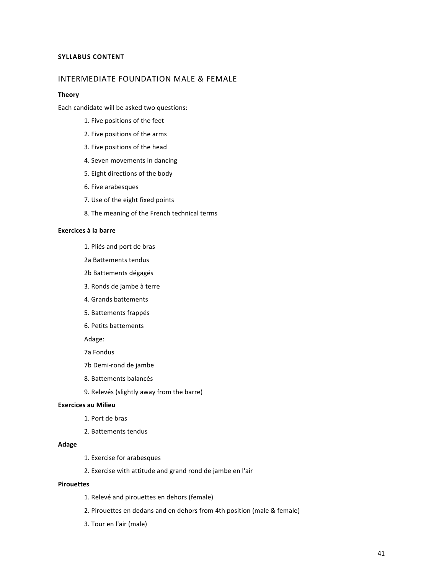### **SYLLABUS CONTENT**

### INTERMEDIATE FOUNDATION MALE & FEMALE

#### **Theory**

Each candidate will be asked two questions:

- 1. Five positions of the feet
- 2. Five positions of the arms
- 3. Five positions of the head
- 4. Seven movements in dancing
- 5. Eight directions of the body
- 6. Five arabesques
- 7. Use of the eight fixed points
- 8. The meaning of the French technical terms

### **Exercices à la barre**

- 1. Pliés and port de bras
- 2a Battements tendus
- 2b Battements dégagés
- 3. Ronds de jambe à terre
- 4. Grands battements
- 5. Battements frappés
- 6. Petits battements

Adage:

- 7a Fondus
- 7b Demi-rond de jambe
- 8. Battements balancés
- 9. Relevés (slightly away from the barre)

### **Exercices au Milieu**

- 1. Port de bras
- 2. Battements tendus

#### **Adage**

- 1. Exercise for arabesques
- 2. Exercise with attitude and grand rond de jambe en l'air

### **Pirouettes**

- 1. Relevé and pirouettes en dehors (female)
- 2. Pirouettes en dedans and en dehors from 4th position (male & female)
- 3. Tour en l'air (male)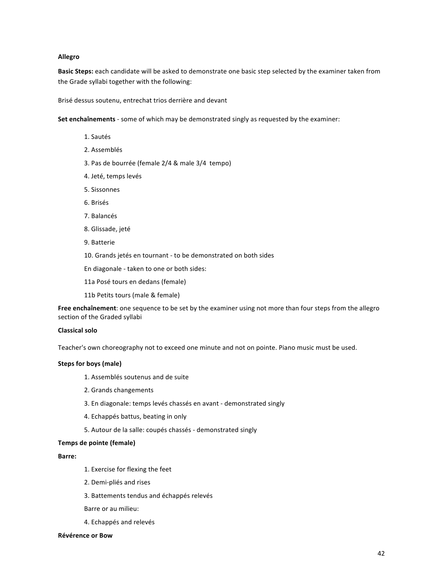#### **Allegro**

**Basic Steps:** each candidate will be asked to demonstrate one basic step selected by the examiner taken from the Grade syllabi together with the following:

Brisé dessus soutenu, entrechat trios derrière and devant

**Set enchaînements** - some of which may be demonstrated singly as requested by the examiner:

- 1. Sautés
- 2. Assemblés
- 3. Pas de bourrée (female 2/4 & male 3/4 tempo)
- 4. Jeté, temps levés
- 5. Sissonnes
- 6. Brisés
- 7. Balancés
- 8. Glissade, jeté
- 9. Batterie
- 10. Grands jetés en tournant to be demonstrated on both sides
- En diagonale taken to one or both sides:
- 11a Posé tours en dedans (female)
- 11b Petits tours (male & female)

**Free enchaînement**: one sequence to be set by the examiner using not more than four steps from the allegro section of the Graded syllabi

### **Classical solo**

Teacher's own choreography not to exceed one minute and not on pointe. Piano music must be used.

### **Steps for boys (male)**

- 1. Assemblés soutenus and de suite
- 2. Grands changements
- 3. En diagonale: temps levés chassés en avant demonstrated singly
- 4. Echappés battus, beating in only
- 5. Autour de la salle: coupés chassés demonstrated singly

### **Temps de pointe (female)**

#### **Barre:**

- 1. Exercise for flexing the feet
- 2. Demi-pliés and rises
- 3. Battements tendus and échappés relevés
- Barre or au milieu:
- 4. Echappés and relevés

#### **Révérence or Bow**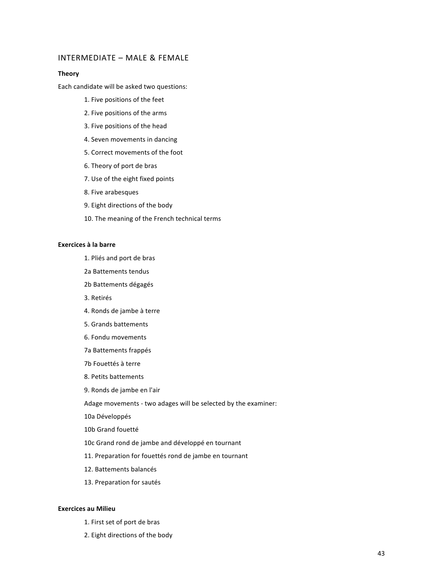### INTERMEDIATE - MALE & FEMALE

#### **Theory**

Each candidate will be asked two questions:

- 1. Five positions of the feet
- 2. Five positions of the arms
- 3. Five positions of the head
- 4. Seven movements in dancing
- 5. Correct movements of the foot
- 6. Theory of port de bras
- 7. Use of the eight fixed points
- 8. Five arabesques
- 9. Eight directions of the body
- 10. The meaning of the French technical terms

#### **Exercices à la barre**

- 1. Pliés and port de bras
- 2a Battements tendus
- 2b Battements dégagés
- 3. Retirés
- 4. Ronds de jambe à terre
- 5. Grands battements
- 6. Fondu movements
- 7a Battements frappés
- 7b Fouettés à terre
- 8. Petits battements
- 9. Ronds de jambe en l'air

Adage movements - two adages will be selected by the examiner:

10a Développés

10b Grand fouetté

10c Grand rond de jambe and développé en tournant

- 11. Preparation for fouettés rond de jambe en tournant
- 12. Battements balancés
- 13. Preparation for sautés

### **Exercices au Milieu**

- 1. First set of port de bras
- 2. Eight directions of the body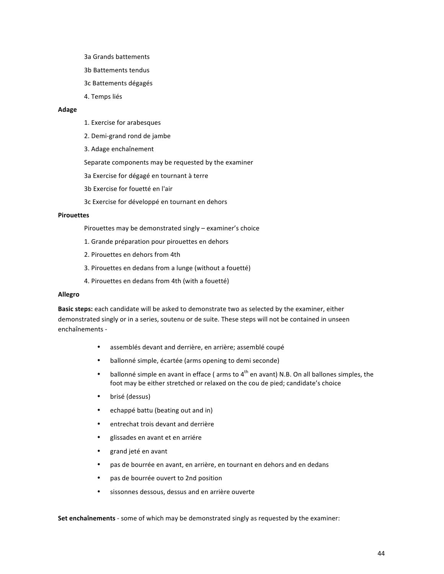- 3a Grands battements
- 3b Battements tendus
- 3c Battements dégagés
- 4. Temps liés

### **Adage**

- 1. Exercise for arabesques
- 2. Demi-grand rond de jambe
- 3. Adage enchaînement

Separate components may be requested by the examiner

3a Exercise for dégagé en tournant à terre

- 3b Exercise for fouetté en l'air
- 3c Exercise for développé en tournant en dehors

### **Pirouettes**

Pirouettes may be demonstrated singly - examiner's choice

- 1. Grande préparation pour pirouettes en dehors
- 2. Pirouettes en dehors from 4th
- 3. Pirouettes en dedans from a lunge (without a fouetté)
- 4. Pirouettes en dedans from 4th (with a fouetté)

### **Allegro**

Basic steps: each candidate will be asked to demonstrate two as selected by the examiner, either demonstrated singly or in a series, soutenu or de suite. These steps will not be contained in unseen enchaînements -

- assemblés devant and derrière, en arrière; assemblé coupé
- ballonné simple, écartée (arms opening to demi seconde)
- ballonné simple en avant in efface ( $arms$  to  $4<sup>th</sup>$  en avant) N.B. On all ballones simples, the foot may be either stretched or relaxed on the cou de pied; candidate's choice
- brisé (dessus)
- echappé battu (beating out and in)
- entrechat trois devant and derrière
- glissades en avant et en arriére
- grand jeté en avant
- pas de bourrée en avant, en arrière, en tournant en dehors and en dedans
- pas de bourrée ouvert to 2nd position
- sissonnes dessous, dessus and en arrière ouverte

**Set enchaînements** - some of which may be demonstrated singly as requested by the examiner: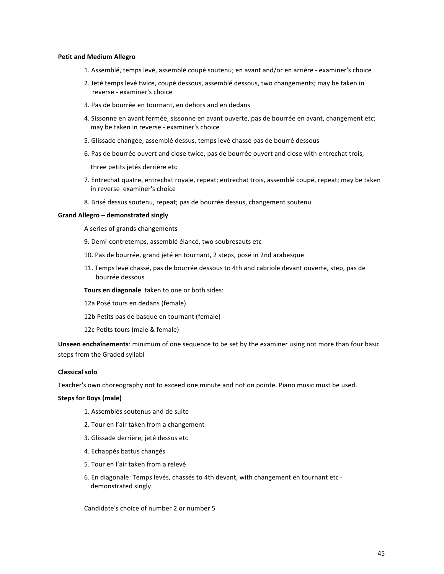#### **Petit and Medium Allegro**

- 1. Assemblé, temps levé, assemblé coupé soutenu; en avant and/or en arrière examiner's choice
- 2. Jeté temps levé twice, coupé dessous, assemblé dessous, two changements; may be taken in reverse - examiner's choice
- 3. Pas de bourrée en tournant, en dehors and en dedans
- 4. Sissonne en avant fermée, sissonne en avant ouverte, pas de bourrée en avant, changement etc; may be taken in reverse - examiner's choice
- 5. Glissade changée, assemblé dessus, temps levé chassé pas de bourré dessous
- 6. Pas de bourrée ouvert and close twice, pas de bourrée ouvert and close with entrechat trois,

three petits jetés derrière etc

- 7. Entrechat quatre, entrechat royale, repeat; entrechat trois, assemblé coupé, repeat; may be taken in reverse examiner's choice
- 8. Brisé dessus soutenu, repeat; pas de bourrée dessus, changement soutenu

#### **Grand Allegro – demonstrated singly**

A series of grands changements

- 9. Demi-contretemps, assemblé élancé, two soubresauts etc
- 10. Pas de bourrée, grand jeté en tournant, 2 steps, posé in 2nd arabesque
- 11. Temps levé chassé, pas de bourrée dessous to 4th and cabriole devant ouverte, step, pas de bourrée dessous

**Tours en diagonale** taken to one or both sides:

- 12a Posé tours en dedans (female)
- 12b Petits pas de basque en tournant (female)
- 12c Petits tours (male & female)

**Unseen enchaînements**: minimum of one sequence to be set by the examiner using not more than four basic steps from the Graded syllabi

### **Classical solo**

Teacher's own choreography not to exceed one minute and not on pointe. Piano music must be used.

#### **Steps for Boys (male)**

- 1. Assemblés soutenus and de suite
- 2. Tour en l'air taken from a changement
- 3. Glissade derrière, jeté dessus etc
- 4. Echappés battus changés
- 5. Tour en l'air taken from a relevé
- 6. En diagonale: Temps levés, chassés to 4th devant, with changement en tournant etc demonstrated singly

Candidate's choice of number 2 or number 5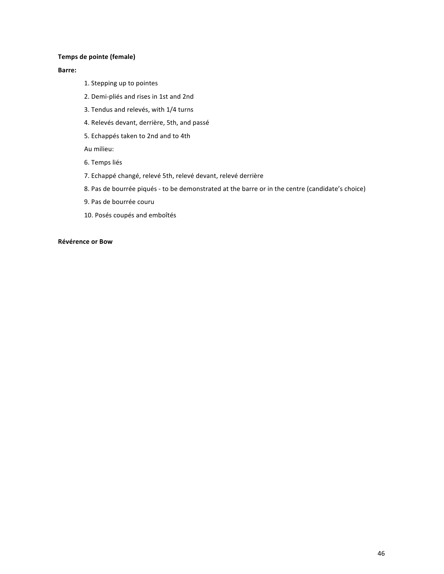### **Temps de pointe (female)**

### **Barre:**

- 1. Stepping up to pointes
- 2. Demi-pliés and rises in 1st and 2nd
- 3. Tendus and relevés, with 1/4 turns
- 4. Relevés devant, derrière, 5th, and passé
- 5. Echappés taken to 2nd and to 4th

Au milieu: 

- 6. Temps liés
- 7. Echappé changé, relevé 5th, relevé devant, relevé derrière
- 8. Pas de bourrée piqués to be demonstrated at the barre or in the centre (candidate's choice)
- 9. Pas de bourrée couru
- 10. Posés coupés and emboîtés

### **Révérence or Bow**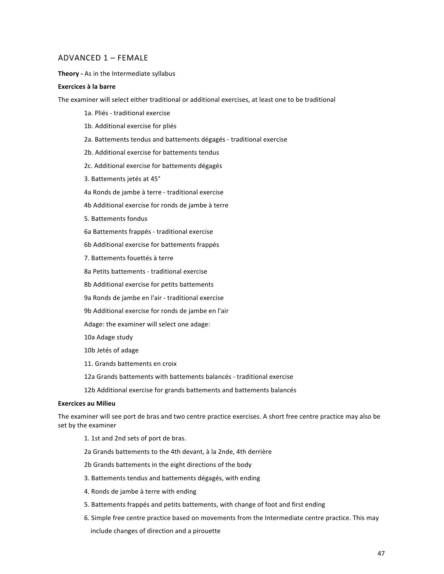### ADVANCED 1 - FEMALE

**Theory** - As in the Intermediate syllabus

### **Exercices à la barre**

The examiner will select either traditional or additional exercises, at least one to be traditional

- 1a. Pliés traditional exercise
- 1b. Additional exercise for pliés
- 2a. Battements tendus and battements dégagés traditional exercise
- 2b. Additional exercise for battements tendus
- 2c. Additional exercise for battements dégagés
- 3. Battements jetés at 45°
- 4a Ronds de jambe à terre traditional exercise
- 4b Additional exercise for ronds de jambe à terre
- 5. Battements fondus
- 6a Battements frappés - traditional exercise
- 6b Additional exercise for battements frappés
- 7. Battements fouettés à terre
- 8a Petits battements traditional exercise
- 8b Additional exercise for petits battements
- 9a Ronds de jambe en l'air traditional exercise
- 9b Additional exercise for ronds de jambe en l'air
- Adage: the examiner will select one adage:
- 10a Adage study
- 10b Jetés of adage
- 11. Grands battements en croix
- 12a Grands battements with battements balancés traditional exercise
- 12b Additional exercise for grands battements and battements balancés

#### **Exercices au Milieu**

The examiner will see port de bras and two centre practice exercises. A short free centre practice may also be set by the examiner

- 1. 1st and 2nd sets of port de bras.
- 2a Grands battements to the 4th devant, à la 2nde, 4th derrière
- 2b Grands battements in the eight directions of the body
- 3. Battements tendus and battements dégagés, with ending
- 4. Ronds de jambe à terre with ending
- 5. Battements frappés and petits battements, with change of foot and first ending
- 6. Simple free centre practice based on movements from the Intermediate centre practice. This may include changes of direction and a pirouette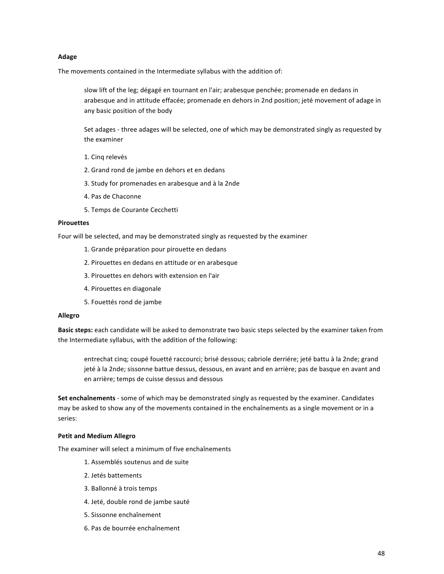#### **Adage**

The movements contained in the Intermediate syllabus with the addition of:

slow lift of the leg; dégagé en tournant en l'air; arabesque penchée; promenade en dedans in arabesque and in attitude effacée; promenade en dehors in 2nd position; jeté movement of adage in any basic position of the body

Set adages - three adages will be selected, one of which may be demonstrated singly as requested by the examiner

- 1. Cing relevés
- 2. Grand rond de jambe en dehors et en dedans
- 3. Study for promenades en arabesque and à la 2nde
- 4. Pas de Chaconne
- 5. Temps de Courante Cecchetti

### **Pirouettes**

Four will be selected, and may be demonstrated singly as requested by the examiner

- 1. Grande préparation pour pirouette en dedans
- 2. Pirouettes en dedans en attitude or en arabesque
- 3. Pirouettes en dehors with extension en l'air
- 4. Pirouettes en diagonale
- 5. Fouettés rond de jambe

#### **Allegro**

**Basic steps:** each candidate will be asked to demonstrate two basic steps selected by the examiner taken from the Intermediate syllabus, with the addition of the following:

entrechat cinq; coupé fouetté raccourci; brisé dessous; cabriole derriére; jeté battu à la 2nde; grand jeté à la 2nde; sissonne battue dessus, dessous, en avant and en arrière; pas de basque en avant and en arrière; temps de cuisse dessus and dessous

Set enchaînements - some of which may be demonstrated singly as requested by the examiner. Candidates may be asked to show any of the movements contained in the enchaînements as a single movement or in a series: 

#### **Petit and Medium Allegro**

The examiner will select a minimum of five enchaînements

- 1. Assemblés soutenus and de suite
- 2. Jetés battements
- 3. Ballonné à trois temps
- 4. Jeté, double rond de jambe sauté
- 5. Sissonne enchaînement
- 6. Pas de bourrée enchaînement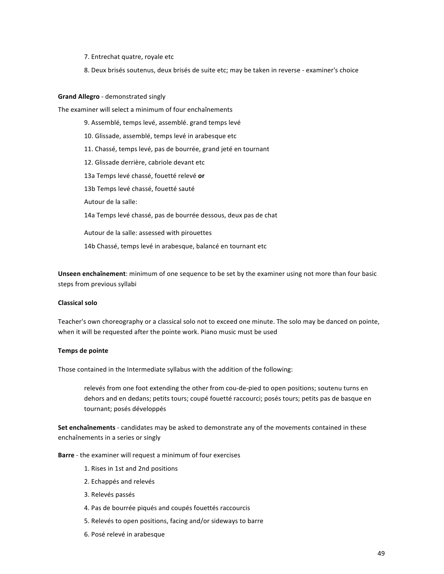- 7. Entrechat quatre, royale etc
- 8. Deux brisés soutenus, deux brisés de suite etc; may be taken in reverse examiner's choice

#### **Grand Allegro** - demonstrated singly

The examiner will select a minimum of four enchaînements

9. Assemblé, temps levé, assemblé. grand temps levé 10. Glissade, assemblé, temps levé in arabesque etc 11. Chassé, temps levé, pas de bourrée, grand jeté en tournant 12. Glissade derrière, cabriole devant etc 13a Temps levé chassé, fouetté relevé **or** 13b Temps levé chassé, fouetté sauté Autour de la salle: 14a Temps levé chassé, pas de bourrée dessous, deux pas de chat Autour de la salle: assessed with pirouettes

14b Chassé, temps levé in arabesque, balancé en tournant etc

**Unseen enchaînement**: minimum of one sequence to be set by the examiner using not more than four basic steps from previous syllabi

### **Classical solo**

Teacher's own choreography or a classical solo not to exceed one minute. The solo may be danced on pointe, when it will be requested after the pointe work. Piano music must be used

### **Temps de pointe**

Those contained in the Intermediate syllabus with the addition of the following:

relevés from one foot extending the other from cou-de-pied to open positions; soutenu turns en dehors and en dedans; petits tours; coupé fouetté raccourci; posés tours; petits pas de basque en tournant; posés développés

**Set enchaînements** - candidates may be asked to demonstrate any of the movements contained in these enchaînements in a series or singly

**Barre** - the examiner will request a minimum of four exercises

- 1. Rises in 1st and 2nd positions
- 2. Echappés and relevés
- 3. Relevés passés
- 4. Pas de bourrée piqués and coupés fouettés raccourcis
- 5. Relevés to open positions, facing and/or sideways to barre
- 6. Posé relevé in arabesque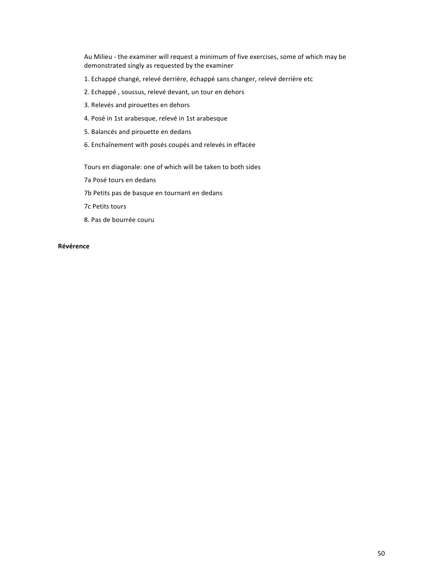Au Milieu - the examiner will request a minimum of five exercises, some of which may be demonstrated singly as requested by the examiner

- 1. Echappé changé, relevé derrière, échappé sans changer, relevé derrière etc
- 2. Echappé, soussus, relevé devant, un tour en dehors
- 3. Relevés and pirouettes en dehors
- 4. Posé in 1st arabesque, relevé in 1st arabesque
- 5. Balancés and pirouette en dedans
- 6. Enchaînement with posés coupés and relevés in effacée

Tours en diagonale: one of which will be taken to both sides

- 7a Posé tours en dedans
- 7b Petits pas de basque en tournant en dedans
- 7c Petits tours
- 8. Pas de bourrée couru

### **Révérence**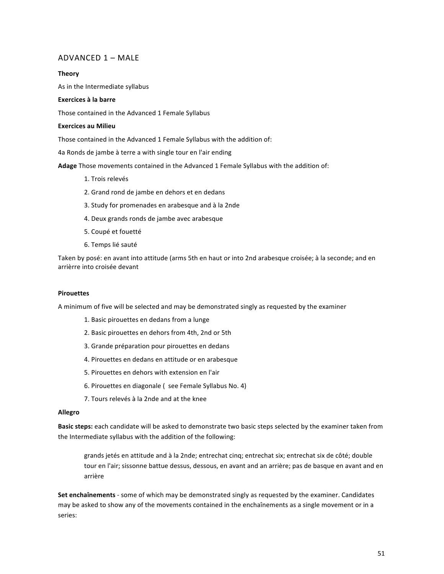# $ADVANCED 1 - MAIF$

### **Theory**

As in the Intermediate syllabus

## **Exercices à la barre**

Those contained in the Advanced 1 Female Syllabus

### **Exercices au Milieu**

Those contained in the Advanced 1 Female Syllabus with the addition of:

4a Ronds de jambe à terre a with single tour en l'air ending

Adage Those movements contained in the Advanced 1 Female Syllabus with the addition of:

- 1. Trois relevés
- 2. Grand rond de jambe en dehors et en dedans
- 3. Study for promenades en arabesque and à la 2nde
- 4. Deux grands ronds de jambe avec arabesque
- 5. Coupé et fouetté
- 6. Temps lié sauté

Taken by posé: en avant into attitude (arms 5th en haut or into 2nd arabesque croisée; à la seconde; and en arrièrre into croisée devant

#### **Pirouettes**

A minimum of five will be selected and may be demonstrated singly as requested by the examiner

- 1. Basic pirouettes en dedans from a lunge
- 2. Basic pirouettes en dehors from 4th, 2nd or 5th
- 3. Grande préparation pour pirouettes en dedans
- 4. Pirouettes en dedans en attitude or en arabesque
- 5. Pirouettes en dehors with extension en l'air
- 6. Pirouettes en diagonale ( see Female Syllabus No. 4)
- 7. Tours relevés à la 2nde and at the knee

### **Allegro**

**Basic steps:** each candidate will be asked to demonstrate two basic steps selected by the examiner taken from the Intermediate syllabus with the addition of the following:

grands jetés en attitude and à la 2nde; entrechat cinq; entrechat six; entrechat six de côté; double tour en l'air; sissonne battue dessus, dessous, en avant and an arrière; pas de basque en avant and en arrière

**Set enchaînements** - some of which may be demonstrated singly as requested by the examiner. Candidates may be asked to show any of the movements contained in the enchaînements as a single movement or in a series: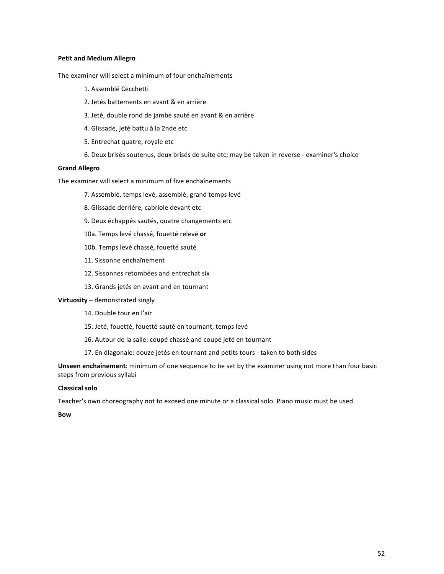### **Petit and Medium Allegro**

The examiner will select a minimum of four enchaînements

- 1. Assemblé Cecchetti
- 2. Jetés battements en avant & en arrière
- 3. Jeté, double rond de jambe sauté en avant & en arrière
- 4. Glissade, jeté battu à la 2nde etc
- 5. Entrechat quatre, royale etc
- 6. Deux brisés soutenus, deux brisés de suite etc; may be taken in reverse examiner's choice

### **Grand Allegro**

The examiner will select a minimum of five enchaînements

- 7. Assemblé, temps levé, assemblé, grand temps levé
- 8. Glissade derriére, cabriole devant etc
- 9. Deux échappés sautés, quatre changements etc
- 10a. Temps levé chassé, fouetté relevé or
- 10b. Temps levé chassé, fouetté sauté
- 11. Sissonne enchaînement
- 12. Sissonnes retombées and entrechat six
- 13. Grands jetés en avant and en tournant

### **Virtuosity** – demonstrated singly

- 14. Double tour en l'air
- 15. Jeté, fouetté, fouetté sauté en tournant, temps levé
- 16. Autour de la salle: coupé chassé and coupé jeté en tournant
- 17. En diagonale: douze jetés en tournant and petits tours taken to both sides

**Unseen enchaînement**: minimum of one sequence to be set by the examiner using not more than four basic steps from previous syllabi

### **Classical solo**

Teacher's own choreography not to exceed one minute or a classical solo. Piano music must be used

**Bow**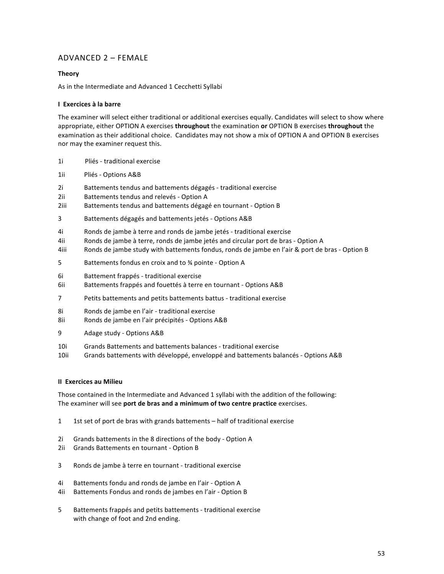# ADVANCED  $2 -$  FEMALE

### **Theory**

As in the Intermediate and Advanced 1 Cecchetti Syllabi

### **I Exercices à la barre**

The examiner will select either traditional or additional exercises equally. Candidates will select to show where appropriate, either OPTION A exercises **throughout** the examination **or** OPTION B exercises **throughout** the examination as their additional choice. Candidates may not show a mix of OPTION A and OPTION B exercises nor may the examiner request this.

- 1i Pliés traditional exercise
- 1ii Pliés Options A&B
- 2i Battements tendus and battements dégagés traditional exercise
- 2ii Battements tendus and relevés Option A
- 2iii Battements tendus and battements dégagé en tournant Option B
- 3 Battements dégagés and battements jetés Options A&B
- 4i Ronds de jambe à terre and ronds de jambe jetés traditional exercise
- 4ii Ronds de jambe à terre, ronds de jambe jetés and circular port de bras Option A
- 4iii Ronds de jambe study with battements fondus, ronds de jambe en l'air & port de bras Option B
- 5 Battements fondus en croix and to % pointe Option A
- 6i Battement frappés traditional exercise
- 6ii Battements frappés and fouettés à terre en tournant Options A&B
- 7 Petits battements and petits battements battus traditional exercise
- 8i Ronds de jambe en l'air traditional exercise
- 8ii Ronds de jambe en l'air précipités Options A&B
- 9 Adage study Options A&B
- 10i Grands Battements and battements balances traditional exercise
- 10ii Grands battements with développé, enveloppé and battements balancés Options A&B

### **II Exercices au Milieu**

Those contained in the Intermediate and Advanced 1 syllabi with the addition of the following: The examiner will see port de bras and a minimum of two centre practice exercises.

- 1 1st set of port de bras with grands battements half of traditional exercise
- 2i Grands battements in the 8 directions of the body Option A
- 2ii Grands Battements en tournant Option B
- 3 Ronds de jambe à terre en tournant traditional exercise
- 4i Battements fondu and ronds de jambe en l'air Option A
- 4ii Battements Fondus and ronds de jambes en l'air Option B
- 5 Battements frappés and petits battements traditional exercise with change of foot and 2nd ending.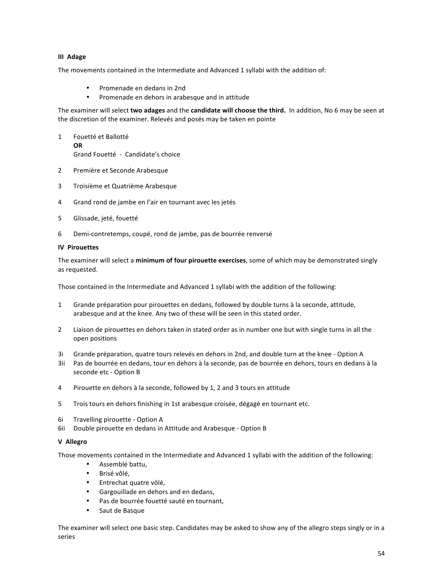### **III** Adage

The movements contained in the Intermediate and Advanced 1 syllabi with the addition of:

- Promenade en dedans in 2nd
- Promenade en dehors in arabesque and in attitude

The examiner will select *two* adages and the candidate will choose the third. In addition, No 6 may be seen at the discretion of the examiner. Relevés and posés may be taken en pointe

- 1 Fouetté et Ballotté **OR** Grand Fouetté - Candidate's choice
- 2 Première et Seconde Arabesque
- 3 Troisième et Quatrième Arabesque
- 4 Grand rond de jambe en l'air en tournant avec les jetés
- 5 Glissade, jeté, fouetté
- 6 Demi-contretemps, coupé, rond de jambe, pas de bourrée renversé

### **IV** Pirouettes

The examiner will select a *minimum of four pirouette exercises*, some of which may be demonstrated singly as requested.

Those contained in the Intermediate and Advanced 1 syllabi with the addition of the following:

- 1 Grande préparation pour pirouettes en dedans, followed by double turns à la seconde, attitude, arabesque and at the knee. Any two of these will be seen in this stated order.
- 2 Liaison de pirouettes en dehors taken in stated order as in number one but with single turns in all the open positions
- 3i Grande préparation, quatre tours relevés en dehors in 2nd, and double turn at the knee Option A
- 3ii Pas de bourrée en dedans, tour en dehors à la seconde, pas de bourrée en dehors, tours en dedans à la seconde etc - Option B
- 4 Pirouette en dehors à la seconde, followed by 1, 2 and 3 tours en attitude
- 5 Trois tours en dehors finishing in 1st arabesque croisée, dégagé en tournant etc.
- 6i Travelling pirouette Option A
- 6ii Double pirouette en dedans in Attitude and Arabesque Option B

### **V Allegro**

Those movements contained in the Intermediate and Advanced 1 syllabi with the addition of the following:

- Assemblé battu,
- Brisé vôlé,
- Entrechat quatre vôlé,
- Gargouillade en dehors and en dedans,
- Pas de bourrée fouetté sauté en tournant,
- Saut de Basque

The examiner will select one basic step. Candidates may be asked to show any of the allegro steps singly or in a series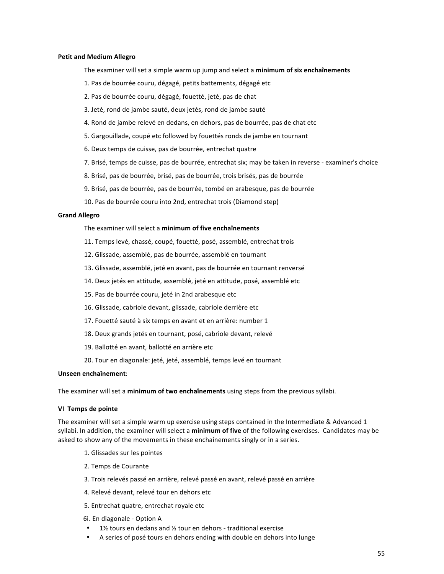#### **Petit and Medium Allegro**

The examiner will set a simple warm up jump and select a minimum of six enchaînements

- 1. Pas de bourrée couru, dégagé, petits battements, dégagé etc
- 2. Pas de bourrée couru, dégagé, fouetté, jeté, pas de chat
- 3. Jeté, rond de jambe sauté, deux jetés, rond de jambe sauté
- 4. Rond de jambe relevé en dedans, en dehors, pas de bourrée, pas de chat etc
- 5. Gargouillade, coupé etc followed by fouettés ronds de jambe en tournant
- 6. Deux temps de cuisse, pas de bourrée, entrechat quatre
- 7. Brisé, temps de cuisse, pas de bourrée, entrechat six; may be taken in reverse examiner's choice
- 8. Brisé, pas de bourrée, brisé, pas de bourrée, trois brisés, pas de bourrée
- 9. Brisé, pas de bourrée, pas de bourrée, tombé en arabesque, pas de bourrée
- 10. Pas de bourrée couru into 2nd, entrechat trois (Diamond step)

#### **Grand Allegro**

The examiner will select a **minimum of five enchaînements** 

- 11. Temps levé, chassé, coupé, fouetté, posé, assemblé, entrechat trois
- 12. Glissade, assemblé, pas de bourrée, assemblé en tournant
- 13. Glissade, assemblé, jeté en avant, pas de bourrée en tournant renversé
- 14. Deux jetés en attitude, assemblé, jeté en attitude, posé, assemblé etc
- 15. Pas de bourrée couru, jeté in 2nd arabesque etc
- 16. Glissade, cabriole devant, glissade, cabriole derrière etc
- 17. Fouetté sauté à six temps en avant et en arrière: number 1
- 18. Deux grands jetés en tournant, posé, cabriole devant, relevé
- 19. Ballotté en avant, ballotté en arrière etc
- 20. Tour en diagonale: jeté, jeté, assemblé, temps levé en tournant

#### **Unseen enchaînement**:

The examiner will set a *minimum of two enchaînements* using steps from the previous syllabi.

#### **VI Temps de pointe**

The examiner will set a simple warm up exercise using steps contained in the Intermediate & Advanced 1 syllabi. In addition, the examiner will select a minimum of five of the following exercises. Candidates may be asked to show any of the movements in these enchaînements singly or in a series.

- 1. Glissades sur les pointes
- 2. Temps de Courante
- 3. Trois relevés passé en arrière, relevé passé en avant, relevé passé en arrière
- 4. Relevé devant, relevé tour en dehors etc
- 5. Entrechat quatre, entrechat royale etc
- 6i. En diagonale Option A
- 1½ tours en dedans and  $\frac{1}{2}$  tour en dehors traditional exercise
- A series of posé tours en dehors ending with double en dehors into lunge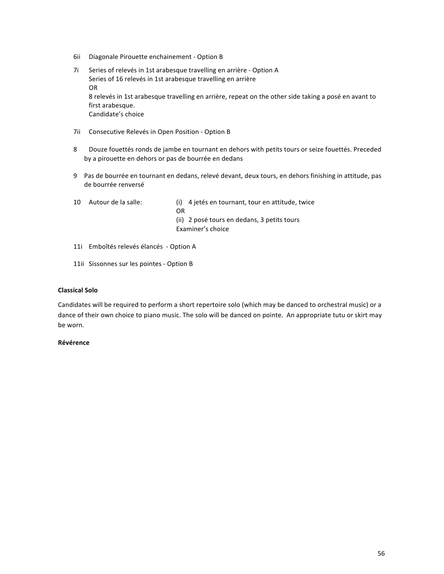- 6ii Diagonale Pirouette enchainement Option B
- 7i Series of relevés in 1st arabesque travelling en arrière Option A Series of 16 relevés in 1st arabesque travelling en arrière OR 8 relevés in 1st arabesque travelling en arrière, repeat on the other side taking a posé en avant to first arabesque. Candidate's choice
- 7ii Consecutive Relevés in Open Position Option B
- 8 Douze fouettés ronds de jambe en tournant en dehors with petits tours or seize fouettés. Preceded by a pirouette en dehors or pas de bourrée en dedans
- 9 Pas de bourrée en tournant en dedans, relevé devant, deux tours, en dehors finishing in attitude, pas de bourrée renversé
- 10 Autour de la salle: (i) 4 jetés en tournant, tour en attitude, twice
	- OR

(ii) 2 posé tours en dedans, 3 petits tours Examiner's choice

- 11i Emboîtés relevés élancés Option A
- 11ii Sissonnes sur les pointes Option B

### **Classical Solo**

Candidates will be required to perform a short repertoire solo (which may be danced to orchestral music) or a dance of their own choice to piano music. The solo will be danced on pointe. An appropriate tutu or skirt may be worn.

### **Révérence**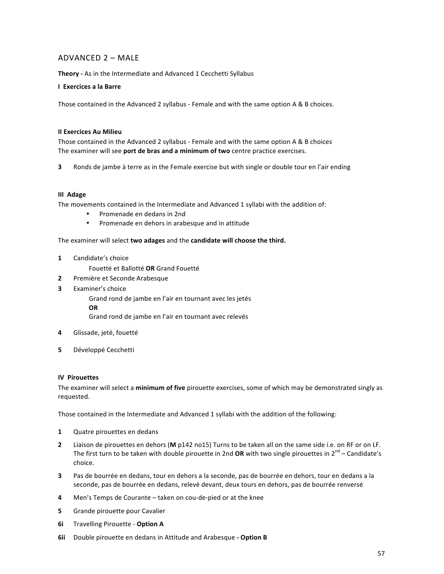# $ADVANCED 2 - MAIF$

**Theory** - As in the Intermediate and Advanced 1 Cecchetti Syllabus

### **I** Exercices a la Barre

Those contained in the Advanced 2 syllabus - Female and with the same option A & B choices.

### **II Exercices Au Milieu**

Those contained in the Advanced 2 syllabus - Female and with the same option A & B choices The examiner will see port de bras and a minimum of two centre practice exercises.

**3** Ronds de jambe à terre as in the Female exercise but with single or double tour en l'air ending

### **III** Adage

The movements contained in the Intermediate and Advanced 1 syllabi with the addition of:

- Promenade en dedans in 2nd
- Promenade en dehors in arabesque and in attitude

### The examiner will select two adages and the candidate will choose the third.

**1** Candidate's choice

Fouetté et Ballotté **OR** Grand Fouetté

- **2** Première et Seconde Arabesque
- **3** Examiner's choice

Grand rond de jambe en l'air en tournant avec les jetés **OR**

Grand rond de jambe en l'air en tournant avec relevés

- 4 Glissade, jeté, fouetté
- **5** Développé Cecchetti

### **IV** Pirouettes

The examiner will select a **minimum of five** pirouette exercises, some of which may be demonstrated singly as requested.

Those contained in the Intermediate and Advanced 1 syllabi with the addition of the following:

- **1** Quatre pirouettes en dedans
- **2** Liaison de pirouettes en dehors (M p142 no15) Turns to be taken all on the same side i.e. on RF or on LF. The first turn to be taken with double pirouette in 2nd OR with two single pirouettes in  $2^{nd}$  – Candidate's choice.
- **3** Pas de bourrée en dedans, tour en dehors a la seconde, pas de bourrée en dehors, tour en dedans a la seconde, pas de bourrée en dedans, relevé devant, deux tours en dehors, pas de bourrée renversé
- **4** Men's Temps de Courante taken on cou-de-pied or at the knee
- **5** Grande pirouette pour Cavalier
- **6i** Travelling Pirouette Option A
- **6ii** Double pirouette en dedans in Attitude and Arabesque Option B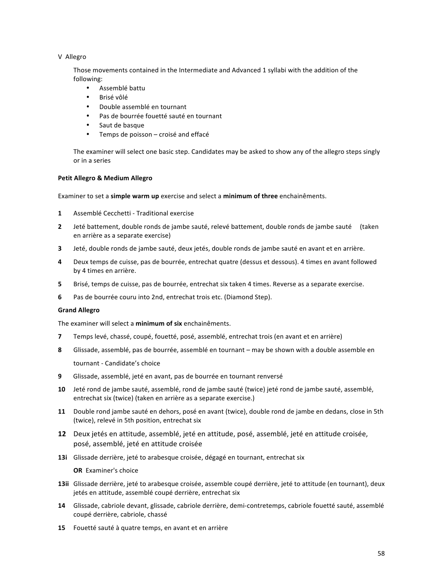### V Allegro

Those movements contained in the Intermediate and Advanced 1 syllabi with the addition of the following:

- Assemblé battu
- Brisé vôlé
- Double assemblé en tournant
- Pas de bourrée fouetté sauté en tournant
- Saut de basque
- Temps de poisson croisé and effacé

The examiner will select one basic step. Candidates may be asked to show any of the allegro steps singly or in a series

### **Petit Allegro & Medium Allegro**

Examiner to set a **simple warm up** exercise and select a minimum of three enchainêments.

- **1** Assemblé Cecchetti Traditional exercise
- **2** Jeté battement, double ronds de jambe sauté, relevé battement, double ronds de jambe sauté (taken en arrière as a separate exercise)
- **3** Jeté, double ronds de jambe sauté, deux jetés, double ronds de jambe sauté en avant et en arrière.
- **4** Deux temps de cuisse, pas de bourrée, entrechat quatre (dessus et dessous). 4 times en avant followed by 4 times en arrière.
- **5** Brisé, temps de cuisse, pas de bourrée, entrechat six taken 4 times. Reverse as a separate exercise.
- **6** Pas de bourrée couru into 2nd, entrechat trois etc. (Diamond Step).

### **Grand Allegro**

The examiner will select a **minimum of six** enchainêments.

- **7** Temps levé, chassé, coupé, fouetté, posé, assemblé, entrechat trois (en avant et en arrière)
- **8** Glissade, assemblé, pas de bourrée, assemblé en tournant may be shown with a double assemble en tournant - Candidate's choice
- **9** Glissade, assemblé, jeté en avant, pas de bourrée en tournant renversé
- **10** Jeté rond de jambe sauté, assemblé, rond de jambe sauté (twice) jeté rond de jambe sauté, assemblé, entrechat six (twice) (taken en arrière as a separate exercise.)
- **11** Double rond jambe sauté en dehors, posé en avant (twice), double rond de jambe en dedans, close in 5th (twice), relevé in 5th position, entrechat six
- **12** Deux jetés en attitude, assemblé, jeté en attitude, posé, assemblé, jeté en attitude croisée, posé, assemblé, jeté en attitude croisée
- 13i Glissade derrière, jeté to arabesque croisée, dégagé en tournant, entrechat six

**OR** Examiner's choice

- 13ii Glissade derrière, jeté to arabesque croisée, assemble coupé derrière, jeté to attitude (en tournant), deux jetés en attitude, assemblé coupé derrière, entrechat six
- 14 Glissade, cabriole devant, glissade, cabriole derrière, demi-contretemps, cabriole fouetté sauté, assemblé coupé derrière, cabriole, chassé
- **15** Fouetté sauté à quatre temps, en avant et en arrière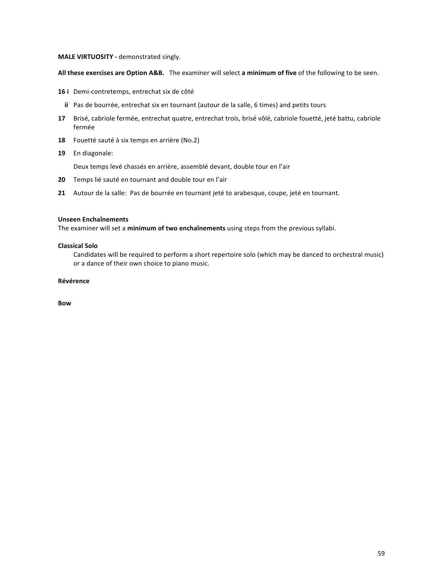### **MALE VIRTUOSITY** - demonstrated singly.

All these exercises are Option A&B. The examiner will select a minimum of five of the following to be seen.

- 16 i Demi-contretemps, entrechat six de côté
	- **ii** Pas de bourrée, entrechat six en tournant (autour de la salle, 6 times) and petits tours
- 17 Brisé, cabriole fermée, entrechat quatre, entrechat trois, brisé vôlé, cabriole fouetté, jeté battu, cabriole fermée
- **18** Fouetté sauté à six temps en arrière (No.2)
- 19 En diagonale:

Deux temps levé chassés en arrière, assemblé devant, double tour en l'air

- **20** Temps lié sauté en tournant and double tour en l'air
- **21** Autour de la salle: Pas de bourrée en tournant jeté to arabesque, coupe, jeté en tournant.

### **Unseen Enchaînements**

The examiner will set a minimum of two enchaînements using steps from the previous syllabi.

### **Classical Solo**

Candidates will be required to perform a short repertoire solo (which may be danced to orchestral music) or a dance of their own choice to piano music.

### **Révérence**

**Bow**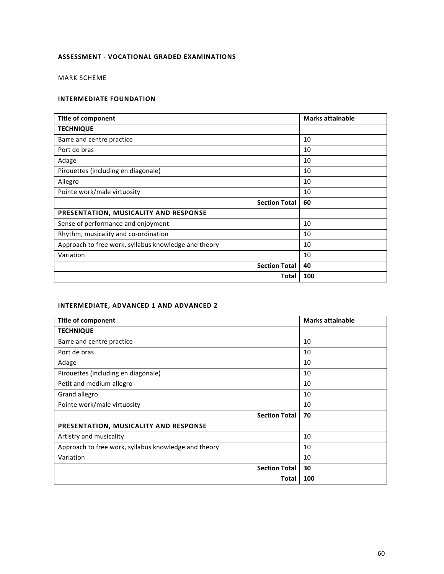# **ASSESSMENT - VOCATIONAL GRADED EXAMINATIONS**

MARK SCHEME

### **INTERMEDIATE FOUNDATION**

| <b>Title of component</b>                            | <b>Marks attainable</b> |
|------------------------------------------------------|-------------------------|
| <b>TECHNIQUE</b>                                     |                         |
| Barre and centre practice                            | 10                      |
| Port de bras                                         | 10                      |
| Adage                                                | 10                      |
| Pirouettes (including en diagonale)                  | 10                      |
| Allegro                                              | 10                      |
| Pointe work/male virtuosity                          | 10                      |
| <b>Section Total</b>                                 | 60                      |
| PRESENTATION, MUSICALITY AND RESPONSE                |                         |
| Sense of performance and enjoyment                   | 10                      |
| Rhythm, musicality and co-ordination                 | 10                      |
| Approach to free work, syllabus knowledge and theory | 10                      |
| Variation                                            | 10                      |
| <b>Section Total</b>                                 | 40                      |
| Total                                                | 100                     |

### **INTERMEDIATE, ADVANCED 1 AND ADVANCED 2**

| <b>Title of component</b>                            | <b>Marks attainable</b> |
|------------------------------------------------------|-------------------------|
| <b>TECHNIQUE</b>                                     |                         |
| Barre and centre practice                            | 10                      |
| Port de bras                                         | 10                      |
| Adage                                                | 10                      |
| Pirouettes (including en diagonale)                  | 10                      |
| Petit and medium allegro                             | 10                      |
| Grand allegro                                        | 10                      |
| Pointe work/male virtuosity                          | 10                      |
| <b>Section Total</b>                                 | 70                      |
| PRESENTATION, MUSICALITY AND RESPONSE                |                         |
| Artistry and musicality                              | 10                      |
| Approach to free work, syllabus knowledge and theory | 10                      |
| Variation                                            | 10                      |
| <b>Section Total</b>                                 | 30                      |
| Total                                                | 100                     |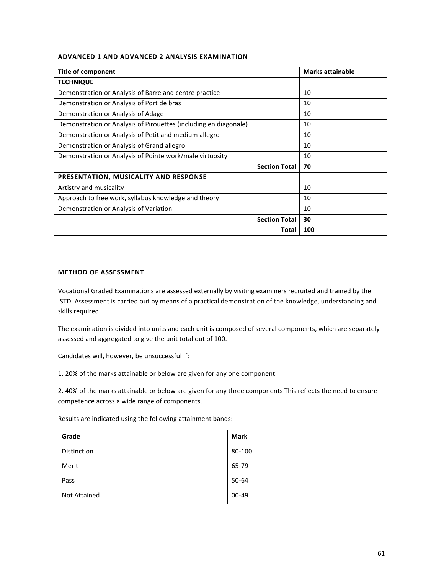### **ADVANCED 1 AND ADVANCED 2 ANALYSIS EXAMINATION**

| <b>Title of component</b>                                        | <b>Marks attainable</b> |
|------------------------------------------------------------------|-------------------------|
| <b>TECHNIQUE</b>                                                 |                         |
| Demonstration or Analysis of Barre and centre practice           | 10                      |
| Demonstration or Analysis of Port de bras                        | 10                      |
| Demonstration or Analysis of Adage                               | 10                      |
| Demonstration or Analysis of Pirouettes (including en diagonale) | 10                      |
| Demonstration or Analysis of Petit and medium allegro            | 10                      |
| Demonstration or Analysis of Grand allegro                       | 10                      |
| Demonstration or Analysis of Pointe work/male virtuosity         | 10                      |
| <b>Section Total</b>                                             | 70                      |
| PRESENTATION, MUSICALITY AND RESPONSE                            |                         |
| Artistry and musicality                                          | 10                      |
| Approach to free work, syllabus knowledge and theory             | 10                      |
| Demonstration or Analysis of Variation                           | 10                      |
| <b>Section Total</b>                                             | 30                      |
| Total                                                            | 100                     |

### **METHOD OF ASSESSMENT**

Vocational Graded Examinations are assessed externally by visiting examiners recruited and trained by the ISTD. Assessment is carried out by means of a practical demonstration of the knowledge, understanding and skills required.

The examination is divided into units and each unit is composed of several components, which are separately assessed and aggregated to give the unit total out of 100.

Candidates will, however, be unsuccessful if:

1. 20% of the marks attainable or below are given for any one component

2. 40% of the marks attainable or below are given for any three components This reflects the need to ensure competence across a wide range of components.

Results are indicated using the following attainment bands:

| Grade               | <b>Mark</b> |
|---------------------|-------------|
| Distinction         | 80-100      |
| Merit               | 65-79       |
| Pass                | 50-64       |
| <b>Not Attained</b> | 00-49       |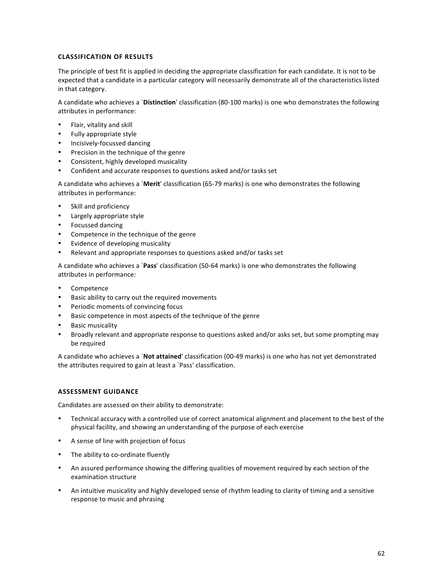### **CLASSIFICATION OF RESULTS**

The principle of best fit is applied in deciding the appropriate classification for each candidate. It is not to be expected that a candidate in a particular category will necessarily demonstrate all of the characteristics listed in that category.

A candidate who achieves a `Distinction' classification (80-100 marks) is one who demonstrates the following attributes in performance:

- Flair, vitality and skill
- Fully appropriate style
- Incisively-focussed dancing
- Precision in the technique of the genre
- Consistent, highly developed musicality
- Confident and accurate responses to questions asked and/or tasks set

A candidate who achieves a `Merit' classification (65-79 marks) is one who demonstrates the following attributes in performance:

- Skill and proficiency
- Largely appropriate style
- Focussed dancing
- Competence in the technique of the genre
- Evidence of developing musicality
- Relevant and appropriate responses to questions asked and/or tasks set

A candidate who achieves a **`Pass**' classification (50-64 marks) is one who demonstrates the following attributes in performance:

- Competence
- Basic ability to carry out the required movements
- Periodic moments of convincing focus
- Basic competence in most aspects of the technique of the genre
- **Basic musicality**
- Broadly relevant and appropriate response to questions asked and/or asks set, but some prompting may be required

A candidate who achieves a `Not attained' classification (00-49 marks) is one who has not yet demonstrated the attributes required to gain at least a 'Pass' classification.

### **ASSESSMENT GUIDANCE**

Candidates are assessed on their ability to demonstrate:

- Technical accuracy with a controlled use of correct anatomical alignment and placement to the best of the physical facility, and showing an understanding of the purpose of each exercise
- A sense of line with projection of focus
- The ability to co-ordinate fluently
- An assured performance showing the differing qualities of movement required by each section of the examination structure
- An intuitive musicality and highly developed sense of rhythm leading to clarity of timing and a sensitive response to music and phrasing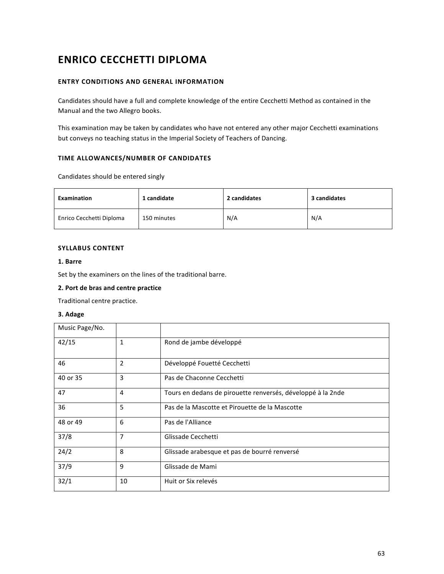# **ENRICO CECCHETTI DIPLOMA**

### **ENTRY CONDITIONS AND GENERAL INFORMATION**

Candidates should have a full and complete knowledge of the entire Cecchetti Method as contained in the Manual and the two Allegro books.

This examination may be taken by candidates who have not entered any other major Cecchetti examinations but conveys no teaching status in the Imperial Society of Teachers of Dancing.

### **TIME ALLOWANCES/NUMBER OF CANDIDATES**

Candidates should be entered singly

| Examination              | 1 candidate | 2 candidates | 3 candidates |
|--------------------------|-------------|--------------|--------------|
| Enrico Cecchetti Diploma | 150 minutes | N/A          | N/A          |

### **SYLLABUS CONTENT**

### **1. Barre**

Set by the examiners on the lines of the traditional barre.

### **2. Port de bras and centre practice**

Traditional centre practice.

### **3. Adage**

| Music Page/No. |                |                                                             |
|----------------|----------------|-------------------------------------------------------------|
| 42/15          | 1              | Rond de jambe développé                                     |
| 46             | $\overline{2}$ | Développé Fouetté Cecchetti                                 |
| 40 or 35       | 3              | Pas de Chaconne Cecchetti                                   |
| 47             | 4              | Tours en dedans de pirouette renversés, développé à la 2nde |
| 36             | 5              | Pas de la Mascotte et Pirouette de la Mascotte              |
| 48 or 49       | 6              | Pas de l'Alliance                                           |
| 37/8           | 7              | Glissade Cecchetti                                          |
| 24/2           | 8              | Glissade arabesque et pas de bourré renversé                |
| 37/9           | 9              | Glissade de Mami                                            |
| 32/1           | 10             | Huit or Six relevés                                         |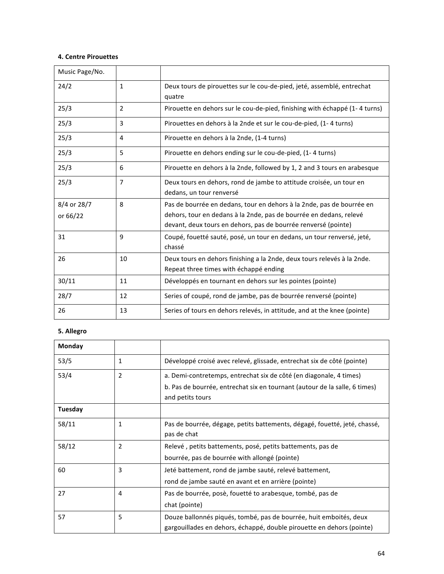# **4. Centre Pirouettes**

| Music Page/No.          |                |                                                                                                                                                                                                               |
|-------------------------|----------------|---------------------------------------------------------------------------------------------------------------------------------------------------------------------------------------------------------------|
| 24/2                    | 1              | Deux tours de pirouettes sur le cou-de-pied, jeté, assemblé, entrechat<br>quatre                                                                                                                              |
| 25/3                    | $\overline{2}$ | Pirouette en dehors sur le cou-de-pied, finishing with échappé (1-4 turns)                                                                                                                                    |
| 25/3                    | 3              | Pirouettes en dehors à la 2nde et sur le cou-de-pied, (1-4 turns)                                                                                                                                             |
| 25/3                    | 4              | Pirouette en dehors à la 2nde, (1-4 turns)                                                                                                                                                                    |
| 25/3                    | 5              | Pirouette en dehors ending sur le cou-de-pied, (1-4 turns)                                                                                                                                                    |
| 25/3                    | 6              | Pirouette en dehors à la 2nde, followed by 1, 2 and 3 tours en arabesque                                                                                                                                      |
| 25/3                    | $\overline{7}$ | Deux tours en dehors, rond de jambe to attitude croisée, un tour en<br>dedans, un tour renversé                                                                                                               |
| 8/4 or 28/7<br>or 66/22 | 8              | Pas de bourrée en dedans, tour en dehors à la 2nde, pas de bourrée en<br>dehors, tour en dedans à la 2nde, pas de bourrée en dedans, relevé<br>devant, deux tours en dehors, pas de bourrée renversé (pointe) |
| 31                      | 9              | Coupé, fouetté sauté, posé, un tour en dedans, un tour renversé, jeté,<br>chassé                                                                                                                              |
| 26                      | 10             | Deux tours en dehors finishing a la 2nde, deux tours relevés à la 2nde.<br>Repeat three times with échappé ending                                                                                             |
| 30/11                   | 11             | Développés en tournant en dehors sur les pointes (pointe)                                                                                                                                                     |
| 28/7                    | 12             | Series of coupé, rond de jambe, pas de bourrée renversé (pointe)                                                                                                                                              |
| 26                      | 13             | Series of tours en dehors relevés, in attitude, and at the knee (pointe)                                                                                                                                      |

# **5. Allegro**

| Monday  |              |                                                                            |
|---------|--------------|----------------------------------------------------------------------------|
| 53/5    | 1            | Développé croisé avec relevé, glissade, entrechat six de côté (pointe)     |
| 53/4    | 2            | a. Demi-contretemps, entrechat six de côté (en diagonale, 4 times)         |
|         |              | b. Pas de bourrée, entrechat six en tournant (autour de la salle, 6 times) |
|         |              | and petits tours                                                           |
| Tuesday |              |                                                                            |
| 58/11   | $\mathbf{1}$ | Pas de bourrée, dégage, petits battements, dégagé, fouetté, jeté, chassé,  |
|         |              | pas de chat                                                                |
| 58/12   | 2            | Relevé, petits battements, posé, petits battements, pas de                 |
|         |              | bourrée, pas de bourrée with allongé (pointe)                              |
| 60      | 3            | Jeté battement, rond de jambe sauté, relevé battement,                     |
|         |              | rond de jambe sauté en avant et en arrière (pointe)                        |
| 27      | 4            | Pas de bourrée, posè, fouetté to arabesque, tombé, pas de                  |
|         |              | chat (pointe)                                                              |
| 57      | 5            | Douze ballonnés piqués, tombé, pas de bourrée, huit emboités, deux         |
|         |              | gargouillades en dehors, échappé, double pirouette en dehors (pointe)      |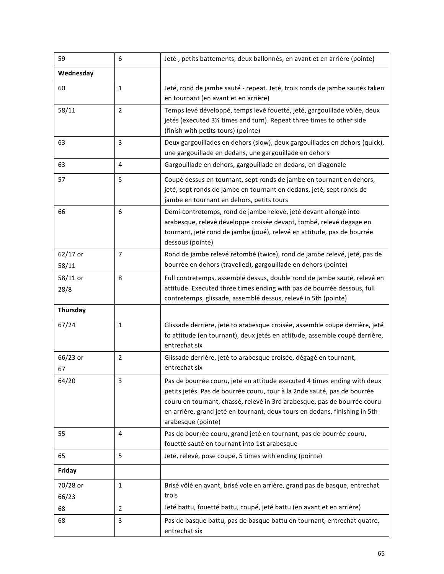| 59                 | 6              | Jeté, petits battements, deux ballonnés, en avant et en arrière (pointe)                                                                                                                                                                                                                                                             |
|--------------------|----------------|--------------------------------------------------------------------------------------------------------------------------------------------------------------------------------------------------------------------------------------------------------------------------------------------------------------------------------------|
| Wednesday          |                |                                                                                                                                                                                                                                                                                                                                      |
| 60                 | $\mathbf{1}$   | Jeté, rond de jambe sauté - repeat. Jeté, trois ronds de jambe sautés taken<br>en tournant (en avant et en arrière)                                                                                                                                                                                                                  |
| 58/11              | $\overline{2}$ | Temps levé développé, temps levé fouetté, jeté, gargouillade vôlée, deux<br>jetés (executed 31/2 times and turn). Repeat three times to other side<br>(finish with petits tours) (pointe)                                                                                                                                            |
| 63                 | 3              | Deux gargouillades en dehors (slow), deux gargouillades en dehors (quick),<br>une gargouillade en dedans, une gargouillade en dehors                                                                                                                                                                                                 |
| 63                 | 4              | Gargouillade en dehors, gargouillade en dedans, en diagonale                                                                                                                                                                                                                                                                         |
| 57                 | 5              | Coupé dessus en tournant, sept ronds de jambe en tournant en dehors,<br>jeté, sept ronds de jambe en tournant en dedans, jeté, sept ronds de<br>jambe en tournant en dehors, petits tours                                                                                                                                            |
| 66                 | 6              | Demi-contretemps, rond de jambe relevé, jeté devant allongé into<br>arabesque, relevé développe croisée devant, tombé, relevé degage en<br>tournant, jeté rond de jambe (joué), relevé en attitude, pas de bourrée<br>dessous (pointe)                                                                                               |
| 62/17 or           | $\overline{7}$ | Rond de jambe relevé retombé (twice), rond de jambe relevé, jeté, pas de                                                                                                                                                                                                                                                             |
| 58/11              |                | bourrée en dehors (travelled), gargouillade en dehors (pointe)                                                                                                                                                                                                                                                                       |
| $58/11$ or<br>28/8 | 8              | Full contretemps, assemblé dessus, double rond de jambe sauté, relevé en<br>attitude. Executed three times ending with pas de bourrée dessous, full<br>contretemps, glissade, assemblé dessus, relevé in 5th (pointe)                                                                                                                |
| Thursday           |                |                                                                                                                                                                                                                                                                                                                                      |
| 67/24              | $\mathbf{1}$   | Glissade derrière, jeté to arabesque croisée, assemble coupé derrière, jeté<br>to attitude (en tournant), deux jetés en attitude, assemble coupé derrière,<br>entrechat six                                                                                                                                                          |
| 66/23 or<br>67     | $\overline{2}$ | Glissade derrière, jeté to arabesque croisée, dégagé en tournant,<br>entrechat six                                                                                                                                                                                                                                                   |
| 64/20              | 3              | Pas de bourrée couru, jeté en attitude executed 4 times ending with deux<br>petits jetés. Pas de bourrée couru, tour à la 2nde sauté, pas de bourrée<br>couru en tournant, chassé, relevé in 3rd arabesque, pas de bourrée couru<br>en arrière, grand jeté en tournant, deux tours en dedans, finishing in 5th<br>arabesque (pointe) |
| 55                 | 4              | Pas de bourrée couru, grand jeté en tournant, pas de bourrée couru,<br>fouetté sauté en tournant into 1st arabesque                                                                                                                                                                                                                  |
| 65                 | 5              | Jeté, relevé, pose coupé, 5 times with ending (pointe)                                                                                                                                                                                                                                                                               |
| Friday             |                |                                                                                                                                                                                                                                                                                                                                      |
| 70/28 or           | 1              | Brisé vôlé en avant, brisé vole en arrière, grand pas de basque, entrechat                                                                                                                                                                                                                                                           |
| 66/23              |                | trois                                                                                                                                                                                                                                                                                                                                |
| 68                 | 2              | Jeté battu, fouetté battu, coupé, jeté battu (en avant et en arrière)                                                                                                                                                                                                                                                                |
| 68                 | 3              | Pas de basque battu, pas de basque battu en tournant, entrechat quatre,<br>entrechat six                                                                                                                                                                                                                                             |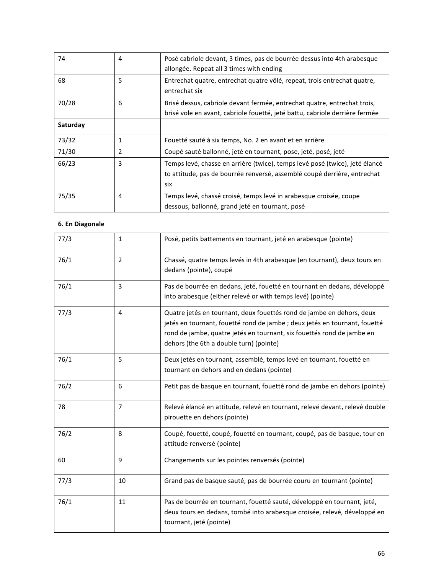| 74       | 4            | Posé cabriole devant, 3 times, pas de bourrée dessus into 4th arabesque<br>allongée. Repeat all 3 times with ending                                            |
|----------|--------------|----------------------------------------------------------------------------------------------------------------------------------------------------------------|
| 68       | 5            | Entrechat quatre, entrechat quatre vôlé, repeat, trois entrechat quatre,<br>entrechat six                                                                      |
| 70/28    | 6            | Brisé dessus, cabriole devant fermée, entrechat quatre, entrechat trois,<br>brisé vole en avant, cabriole fouetté, jeté battu, cabriole derrière fermée        |
| Saturday |              |                                                                                                                                                                |
| 73/32    | $\mathbf{1}$ | Fouetté sauté à six temps, No. 2 en avant et en arrière                                                                                                        |
| 71/30    | 2            | Coupé sauté ballonné, jeté en tournant, pose, jeté, posé, jeté                                                                                                 |
| 66/23    | 3            | Temps levé, chasse en arrière (twice), temps levé posé (twice), jeté élancé<br>to attitude, pas de bourrée renversé, assemblé coupé derrière, entrechat<br>six |
| 75/35    | 4            | Temps levé, chassé croisé, temps levé in arabesque croisée, coupe<br>dessous, ballonné, grand jeté en tournant, posé                                           |

# **6. En Diagonale**

| 77/3 | 1              | Posé, petits battements en tournant, jeté en arabesque (pointe)                                                                                                                                                                                                          |
|------|----------------|--------------------------------------------------------------------------------------------------------------------------------------------------------------------------------------------------------------------------------------------------------------------------|
| 76/1 | $\overline{2}$ | Chassé, quatre temps levés in 4th arabesque (en tournant), deux tours en<br>dedans (pointe), coupé                                                                                                                                                                       |
| 76/1 | 3              | Pas de bourrée en dedans, jeté, fouetté en tournant en dedans, développé<br>into arabesque (either relevé or with temps levé) (pointe)                                                                                                                                   |
| 77/3 | 4              | Quatre jetés en tournant, deux fouettés rond de jambe en dehors, deux<br>jetés en tournant, fouetté rond de jambe ; deux jetés en tournant, fouetté<br>rond de jambe, quatre jetés en tournant, six fouettés rond de jambe en<br>dehors (the 6th a double turn) (pointe) |
| 76/1 | 5              | Deux jetés en tournant, assemblé, temps levé en tournant, fouetté en<br>tournant en dehors and en dedans (pointe)                                                                                                                                                        |
| 76/2 | 6              | Petit pas de basque en tournant, fouetté rond de jambe en dehors (pointe)                                                                                                                                                                                                |
| 78   | $\overline{7}$ | Relevé élancé en attitude, relevé en tournant, relevé devant, relevé double<br>pirouette en dehors (pointe)                                                                                                                                                              |
| 76/2 | 8              | Coupé, fouetté, coupé, fouetté en tournant, coupé, pas de basque, tour en<br>attitude renversé (pointe)                                                                                                                                                                  |
| 60   | 9              | Changements sur les pointes renversés (pointe)                                                                                                                                                                                                                           |
| 77/3 | 10             | Grand pas de basque sauté, pas de bourrée couru en tournant (pointe)                                                                                                                                                                                                     |
| 76/1 | 11             | Pas de bourrée en tournant, fouetté sauté, développé en tournant, jeté,<br>deux tours en dedans, tombé into arabesque croisée, relevé, développé en<br>tournant, jeté (pointe)                                                                                           |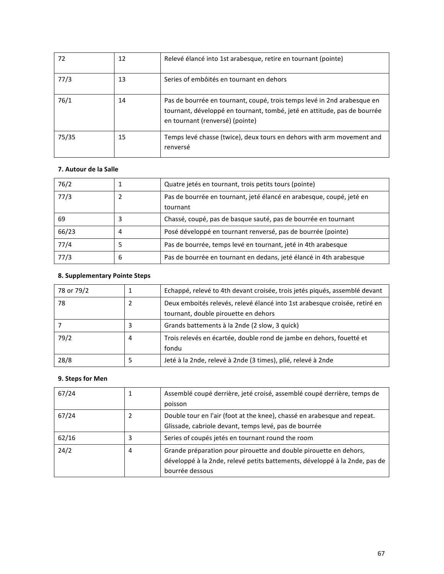| 72    | 12 | Relevé élancé into 1st arabesque, retire en tournant (pointe)                                                                                                                          |
|-------|----|----------------------------------------------------------------------------------------------------------------------------------------------------------------------------------------|
| 77/3  | 13 | Series of embôités en tournant en dehors                                                                                                                                               |
| 76/1  | 14 | Pas de bourrée en tournant, coupé, trois temps levé in 2nd arabesque en<br>tournant, développé en tournant, tombé, jeté en attitude, pas de bourrée<br>en tournant (renversé) (pointe) |
| 75/35 | 15 | Temps levé chasse (twice), deux tours en dehors with arm movement and<br>renversé                                                                                                      |

### **7.** Autour de la Salle

| 76/2  |   | Quatre jetés en tournant, trois petits tours (pointe)                |
|-------|---|----------------------------------------------------------------------|
| 77/3  |   | Pas de bourrée en tournant, jeté élancé en arabesque, coupé, jeté en |
|       |   | tournant                                                             |
| 69    | 3 | Chassé, coupé, pas de basque sauté, pas de bourrée en tournant       |
| 66/23 | 4 | Posé développé en tournant renversé, pas de bourrée (pointe)         |
| 77/4  |   | Pas de bourrée, temps levé en tournant, jeté in 4th arabesque        |
| 77/3  | 6 | Pas de bourrée en tournant en dedans, jeté élancé in 4th arabesque   |

# **8. Supplementary Pointe Steps**

| 78 or 79/2 |   | Echappé, relevé to 4th devant croisée, trois jetés piqués, assemblé devant                                         |
|------------|---|--------------------------------------------------------------------------------------------------------------------|
| 78         |   | Deux emboités relevés, relevé élancé into 1st arabesque croisée, retiré en<br>tournant, double pirouette en dehors |
|            | 3 | Grands battements à la 2nde (2 slow, 3 quick)                                                                      |
| 79/2       | 4 | Trois relevés en écartée, double rond de jambe en dehors, fouetté et<br>fondu                                      |
| 28/8       | כ | Jeté à la 2nde, relevé à 2nde (3 times), plié, relevé à 2nde                                                       |

# **9. Steps for Men**

| 67/24 |   | Assemblé coupé derrière, jeté croisé, assemblé coupé derrière, temps de<br>poisson                                                                                 |
|-------|---|--------------------------------------------------------------------------------------------------------------------------------------------------------------------|
| 67/24 |   | Double tour en l'air (foot at the knee), chassé en arabesque and repeat.<br>Glissade, cabriole devant, temps levé, pas de bourrée                                  |
| 62/16 | 3 | Series of coupés jetés en tournant round the room                                                                                                                  |
| 24/2  | 4 | Grande préparation pour pirouette and double pirouette en dehors,<br>développé à la 2nde, relevé petits battements, développé à la 2nde, pas de<br>bourrée dessous |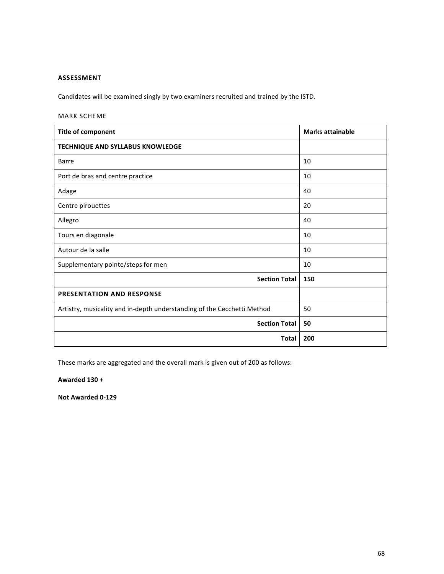## **ASSESSMENT**

Candidates will be examined singly by two examiners recruited and trained by the ISTD.

## MARK SCHEME

| <b>Title of component</b>                                               | <b>Marks attainable</b> |
|-------------------------------------------------------------------------|-------------------------|
| <b>TECHNIQUE AND SYLLABUS KNOWLEDGE</b>                                 |                         |
| <b>Barre</b>                                                            | 10                      |
| Port de bras and centre practice                                        | 10                      |
| Adage                                                                   | 40                      |
| Centre pirouettes                                                       | 20                      |
| Allegro                                                                 | 40                      |
| Tours en diagonale                                                      | 10                      |
| Autour de la salle                                                      | 10                      |
| Supplementary pointe/steps for men                                      | 10                      |
| <b>Section Total</b>                                                    | 150                     |
| <b>PRESENTATION AND RESPONSE</b>                                        |                         |
| Artistry, musicality and in-depth understanding of the Cecchetti Method | 50                      |
| <b>Section Total</b>                                                    | 50                      |
| <b>Total</b>                                                            | 200                     |

These marks are aggregated and the overall mark is given out of 200 as follows:

**Awarded 130 +**

**Not Awarded 0-129**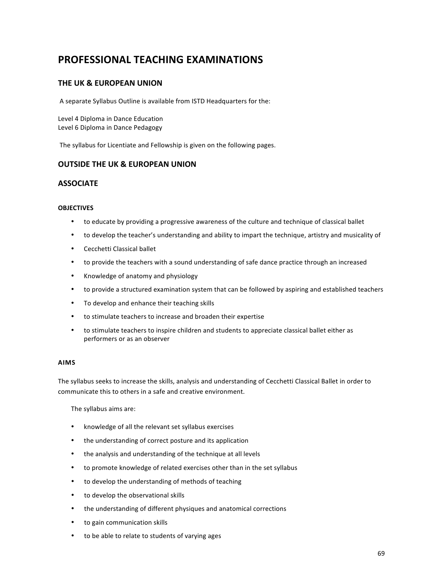# **PROFESSIONAL TEACHING EXAMINATIONS**

# **THE UK & EUROPEAN UNION**

A separate Syllabus Outline is available from ISTD Headquarters for the:

Level 4 Diploma in Dance Education Level 6 Diploma in Dance Pedagogy

The syllabus for Licentiate and Fellowship is given on the following pages.

## **OUTSIDE THE UK & EUROPEAN UNION**

## **ASSOCIATE**

### **OBJECTIVES**

- to educate by providing a progressive awareness of the culture and technique of classical ballet
- to develop the teacher's understanding and ability to impart the technique, artistry and musicality of
- Cecchetti Classical ballet
- to provide the teachers with a sound understanding of safe dance practice through an increased
- Knowledge of anatomy and physiology
- to provide a structured examination system that can be followed by aspiring and established teachers
- To develop and enhance their teaching skills
- to stimulate teachers to increase and broaden their expertise
- to stimulate teachers to inspire children and students to appreciate classical ballet either as performers or as an observer

### **AIMS**

The syllabus seeks to increase the skills, analysis and understanding of Cecchetti Classical Ballet in order to communicate this to others in a safe and creative environment.

The syllabus aims are:

- knowledge of all the relevant set syllabus exercises
- the understanding of correct posture and its application
- the analysis and understanding of the technique at all levels
- to promote knowledge of related exercises other than in the set syllabus
- to develop the understanding of methods of teaching
- to develop the observational skills
- the understanding of different physiques and anatomical corrections
- to gain communication skills
- to be able to relate to students of varying ages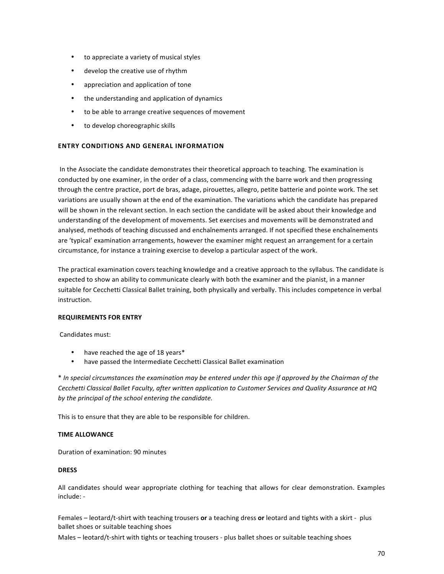- to appreciate a variety of musical styles
- develop the creative use of rhythm
- appreciation and application of tone
- the understanding and application of dynamics
- to be able to arrange creative sequences of movement
- to develop choreographic skills

### **ENTRY CONDITIONS AND GENERAL INFORMATION**

In the Associate the candidate demonstrates their theoretical approach to teaching. The examination is conducted by one examiner, in the order of a class, commencing with the barre work and then progressing through the centre practice, port de bras, adage, pirouettes, allegro, petite batterie and pointe work. The set variations are usually shown at the end of the examination. The variations which the candidate has prepared will be shown in the relevant section. In each section the candidate will be asked about their knowledge and understanding of the development of movements. Set exercises and movements will be demonstrated and analysed, methods of teaching discussed and enchaînements arranged. If not specified these enchaînements are 'typical' examination arrangements, however the examiner might request an arrangement for a certain circumstance, for instance a training exercise to develop a particular aspect of the work.

The practical examination covers teaching knowledge and a creative approach to the syllabus. The candidate is expected to show an ability to communicate clearly with both the examiner and the pianist, in a manner suitable for Cecchetti Classical Ballet training, both physically and verbally. This includes competence in verbal instruction. 

### **REQUIREMENTS FOR ENTRY**

Candidates must:

- have reached the age of 18 years\*
- have passed the Intermediate Cecchetti Classical Ballet examination

\* *In special circumstances the examination may be entered under this age if approved by the Chairman of the Cecchetti Classical Ballet Faculty, after written application to Customer Services and Quality Assurance at HQ by the principal of the school entering the candidate.* 

This is to ensure that they are able to be responsible for children.

### **TIME ALLOWANCE**

Duration of examination: 90 minutes

### **DRESS**

All candidates should wear appropriate clothing for teaching that allows for clear demonstration. Examples include: -

Females – leotard/t-shirt with teaching trousers or a teaching dress or leotard and tights with a skirt - plus ballet shoes or suitable teaching shoes

Males - leotard/t-shirt with tights or teaching trousers - plus ballet shoes or suitable teaching shoes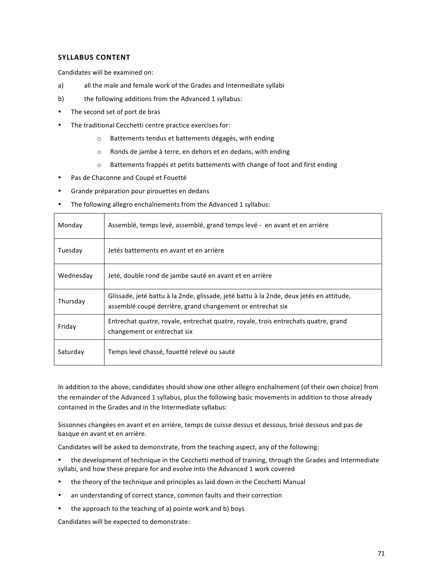### **SYLLABUS CONTENT**

Candidates will be examined on:

- a) all the male and female work of the Grades and Intermediate syllabi
- b) the following additions from the Advanced 1 syllabus:
- The second set of port de bras
- The traditional Cecchetti centre practice exercises for:
	- o Battements tendus et battements dégagés, with ending
	- o Ronds de jambe à terre, en dehors et en dedans, with ending
	- $\circ$  Battements frappés et petits battements with change of foot and first ending
- Pas de Chaconne and Coupé et Fouetté
- Grande préparation pour pirouettes en dedans
- The following allegro enchaînements from the Advanced 1 syllabus:

| Monday    | Assemblé, temps levé, assemblé, grand temps levé - en avant et en arrière                                                                             |
|-----------|-------------------------------------------------------------------------------------------------------------------------------------------------------|
| Tuesday   | Jetés battements en avant et en arrière                                                                                                               |
| Wednesday | Jeté, double rond de jambe sauté en avant et en arrière                                                                                               |
| Thursday  | Glissade, jeté battu à la 2nde, glissade, jeté battu à la 2nde, deux jetés en attitude,<br>assemblé coupé derrière, grand changement or entrechat six |
| Friday    | Entrechat quatre, royale, entrechat quatre, royale, trois entrechats quatre, grand<br>changement or entrechat six                                     |
| Saturday  | Temps levé chassé, fouetté relevé ou sauté                                                                                                            |

In addition to the above, candidates should show one other allegro enchaînement (of their own choice) from the remainder of the Advanced 1 syllabus, plus the following basic movements in addition to those already contained in the Grades and in the Intermediate syllabus:

Sissonnes changées en avant et en arrière, temps de cuisse dessus et dessous, brisé dessous and pas de basque en avant et en arrière.

Candidates will be asked to demonstrate, from the teaching aspect, any of the following:

- the development of technique in the Cecchetti method of training, through the Grades and Intermediate syllabi, and how these prepare for and evolve into the Advanced 1 work covered
- the theory of the technique and principles as laid down in the Cecchetti Manual
- an understanding of correct stance, common faults and their correction
- the approach to the teaching of a) pointe work and b) boys

Candidates will be expected to demonstrate: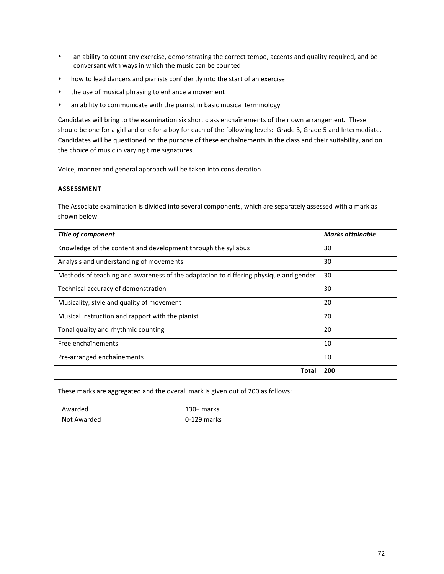- an ability to count any exercise, demonstrating the correct tempo, accents and quality required, and be conversant with ways in which the music can be counted
- how to lead dancers and pianists confidently into the start of an exercise
- the use of musical phrasing to enhance a movement
- an ability to communicate with the pianist in basic musical terminology

Candidates will bring to the examination six short class enchaînements of their own arrangement. These should be one for a girl and one for a boy for each of the following levels: Grade 3, Grade 5 and Intermediate. Candidates will be questioned on the purpose of these enchaînements in the class and their suitability, and on the choice of music in varying time signatures.

Voice, manner and general approach will be taken into consideration

### **ASSESSMENT**

The Associate examination is divided into several components, which are separately assessed with a mark as shown below.

| <b>Title of component</b>                                                            | <b>Marks attainable</b> |
|--------------------------------------------------------------------------------------|-------------------------|
| Knowledge of the content and development through the syllabus                        | 30                      |
| Analysis and understanding of movements                                              | 30                      |
| Methods of teaching and awareness of the adaptation to differing physique and gender | 30                      |
| Technical accuracy of demonstration                                                  | 30                      |
| Musicality, style and quality of movement                                            | 20                      |
| Musical instruction and rapport with the pianist                                     | 20                      |
| Tonal quality and rhythmic counting                                                  | 20                      |
| Free enchaînements                                                                   | 10                      |
| Pre-arranged enchaînements                                                           | 10                      |
| Total                                                                                | 200                     |

These marks are aggregated and the overall mark is given out of 200 as follows:

| Awarded     | 130+ marks  |
|-------------|-------------|
| Not Awarded | 0-129 marks |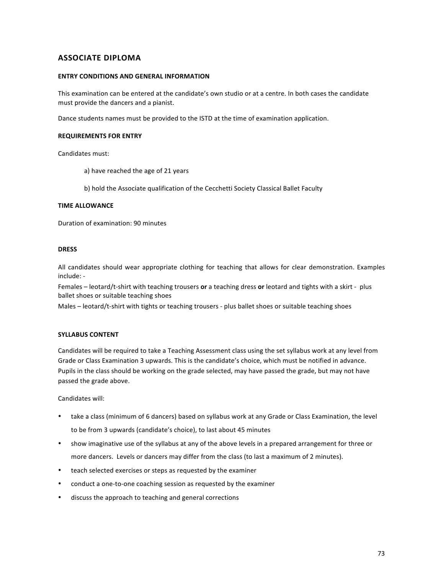## **ASSOCIATE DIPLOMA**

#### **ENTRY CONDITIONS AND GENERAL INFORMATION**

This examination can be entered at the candidate's own studio or at a centre. In both cases the candidate must provide the dancers and a pianist.

Dance students names must be provided to the ISTD at the time of examination application.

#### **REQUIREMENTS FOR ENTRY**

Candidates must:

- a) have reached the age of 21 years
- b) hold the Associate qualification of the Cecchetti Society Classical Ballet Faculty

#### **TIME ALLOWANCE**

Duration of examination: 90 minutes

#### **DRESS**

All candidates should wear appropriate clothing for teaching that allows for clear demonstration. Examples include: -

Females – leotard/t-shirt with teaching trousers or a teaching dress or leotard and tights with a skirt - plus ballet shoes or suitable teaching shoes

Males - leotard/t-shirt with tights or teaching trousers - plus ballet shoes or suitable teaching shoes

#### **SYLLABUS CONTENT**

Candidates will be required to take a Teaching Assessment class using the set syllabus work at any level from Grade or Class Examination 3 upwards. This is the candidate's choice, which must be notified in advance. Pupils in the class should be working on the grade selected, may have passed the grade, but may not have passed the grade above.

Candidates will:

- take a class (minimum of 6 dancers) based on syllabus work at any Grade or Class Examination, the level to be from 3 upwards (candidate's choice), to last about 45 minutes
- show imaginative use of the syllabus at any of the above levels in a prepared arrangement for three or more dancers. Levels or dancers may differ from the class (to last a maximum of 2 minutes).
- teach selected exercises or steps as requested by the examiner
- conduct a one-to-one coaching session as requested by the examiner
- discuss the approach to teaching and general corrections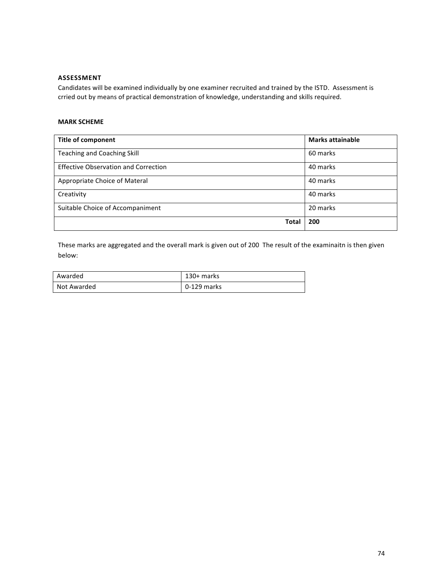### **ASSESSMENT**

Candidates will be examined individually by one examiner recruited and trained by the ISTD. Assessment is crried out by means of practical demonstration of knowledge, understanding and skills required.

#### **MARK SCHEME**

| <b>Title of component</b>                   | <b>Marks attainable</b> |
|---------------------------------------------|-------------------------|
| <b>Teaching and Coaching Skill</b>          | 60 marks                |
| <b>Effective Observation and Correction</b> | 40 marks                |
| Appropriate Choice of Materal               | 40 marks                |
| Creativity                                  | 40 marks                |
| Suitable Choice of Accompaniment            | 20 marks                |
| Total                                       | 200                     |

These marks are aggregated and the overall mark is given out of 200 The result of the examinaitn is then given below:

| Awarded     | 130+ marks  |
|-------------|-------------|
| Not Awarded | 0-129 marks |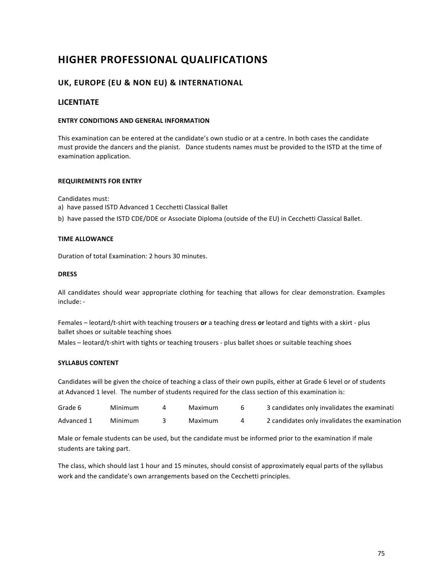# **HIGHER PROFESSIONAL QUALIFICATIONS**

## **UK, EUROPE (EU & NON EU) & INTERNATIONAL**

### **LICENTIATE**

#### **ENTRY CONDITIONS AND GENERAL INFORMATION**

This examination can be entered at the candidate's own studio or at a centre. In both cases the candidate must provide the dancers and the pianist. Dance students names must be provided to the ISTD at the time of examination application.

#### **REQUIREMENTS FOR ENTRY**

Candidates must:

- a) have passed ISTD Advanced 1 Cecchetti Classical Ballet
- b) have passed the ISTD CDE/DDE or Associate Diploma (outside of the EU) in Cecchetti Classical Ballet.

#### **TIME ALLOWANCE**

Duration of total Examination: 2 hours 30 minutes.

#### **DRESS**

All candidates should wear appropriate clothing for teaching that allows for clear demonstration. Examples include: -

Females – leotard/t-shirt with teaching trousers or a teaching dress or leotard and tights with a skirt - plus ballet shoes or suitable teaching shoes

Males - leotard/t-shirt with tights or teaching trousers - plus ballet shoes or suitable teaching shoes

#### **SYLLABUS CONTENT**

Candidates will be given the choice of teaching a class of their own pupils, either at Grade 6 level or of students at Advanced 1 level. The number of students required for the class section of this examination is:

| Grade 6    | Minimum | Maximum | 3 candidates only invalidates the examinati   |
|------------|---------|---------|-----------------------------------------------|
| Advanced 1 | Minimum | Maximum | 2 candidates only invalidates the examination |

Male or female students can be used, but the candidate must be informed prior to the examination if male students are taking part.

The class, which should last 1 hour and 15 minutes, should consist of approximately equal parts of the syllabus work and the candidate's own arrangements based on the Cecchetti principles.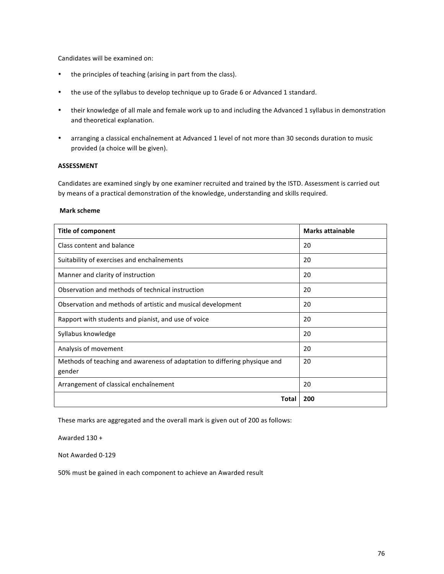Candidates will be examined on:

- the principles of teaching (arising in part from the class).
- the use of the syllabus to develop technique up to Grade 6 or Advanced 1 standard.
- their knowledge of all male and female work up to and including the Advanced 1 syllabus in demonstration and theoretical explanation.
- arranging a classical enchaînement at Advanced 1 level of not more than 30 seconds duration to music provided (a choice will be given).

#### **ASSESSMENT**

Candidates are examined singly by one examiner recruited and trained by the ISTD. Assessment is carried out by means of a practical demonstration of the knowledge, understanding and skills required.

#### **Mark scheme**

| <b>Title of component</b>                                                           | <b>Marks attainable</b> |
|-------------------------------------------------------------------------------------|-------------------------|
| Class content and balance                                                           | 20                      |
| Suitability of exercises and enchaînements                                          | 20                      |
| Manner and clarity of instruction                                                   | 20                      |
| Observation and methods of technical instruction                                    | 20                      |
| Observation and methods of artistic and musical development                         | 20                      |
| Rapport with students and pianist, and use of voice                                 | 20                      |
| Syllabus knowledge                                                                  | 20                      |
| Analysis of movement                                                                | 20                      |
| Methods of teaching and awareness of adaptation to differing physique and<br>gender | 20                      |
| Arrangement of classical enchaînement                                               | 20                      |
| Total                                                                               | 200                     |

These marks are aggregated and the overall mark is given out of 200 as follows:

Awarded  $130 +$ 

Not Awarded 0-129

50% must be gained in each component to achieve an Awarded result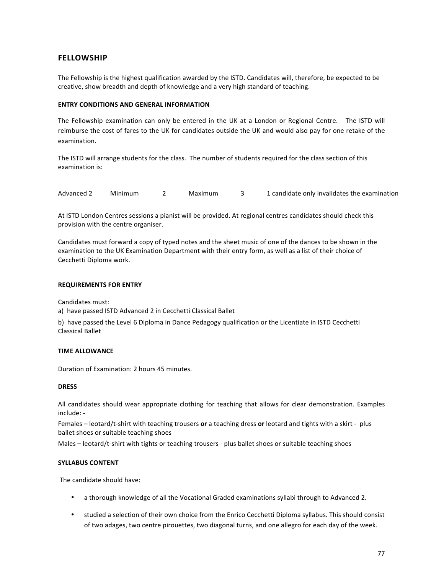### **FELLOWSHIP**

The Fellowship is the highest qualification awarded by the ISTD. Candidates will, therefore, be expected to be creative, show breadth and depth of knowledge and a very high standard of teaching.

#### **ENTRY CONDITIONS AND GENERAL INFORMATION**

The Fellowship examination can only be entered in the UK at a London or Regional Centre. The ISTD will reimburse the cost of fares to the UK for candidates outside the UK and would also pay for one retake of the examination. 

The ISTD will arrange students for the class. The number of students required for the class section of this examination is:

Advanced 2 Minimum 2 Maximum 3 1 candidate only invalidates the examination

At ISTD London Centres sessions a pianist will be provided. At regional centres candidates should check this provision with the centre organiser.

Candidates must forward a copy of typed notes and the sheet music of one of the dances to be shown in the examination to the UK Examination Department with their entry form, as well as a list of their choice of Cecchetti Diploma work.

#### **REQUIREMENTS FOR ENTRY**

Candidates must:

a) have passed ISTD Advanced 2 in Cecchetti Classical Ballet

b) have passed the Level 6 Diploma in Dance Pedagogy qualification or the Licentiate in ISTD Cecchetti Classical Ballet 

#### **TIME ALLOWANCE**

Duration of Examination: 2 hours 45 minutes.

#### **DRESS**

All candidates should wear appropriate clothing for teaching that allows for clear demonstration. Examples include: -

Females – leotard/t-shirt with teaching trousers or a teaching dress or leotard and tights with a skirt - plus ballet shoes or suitable teaching shoes

Males – leotard/t-shirt with tights or teaching trousers - plus ballet shoes or suitable teaching shoes

#### **SYLLABUS CONTENT**

The candidate should have:

- a thorough knowledge of all the Vocational Graded examinations syllabi through to Advanced 2.
- studied a selection of their own choice from the Enrico Cecchetti Diploma syllabus. This should consist of two adages, two centre pirouettes, two diagonal turns, and one allegro for each day of the week.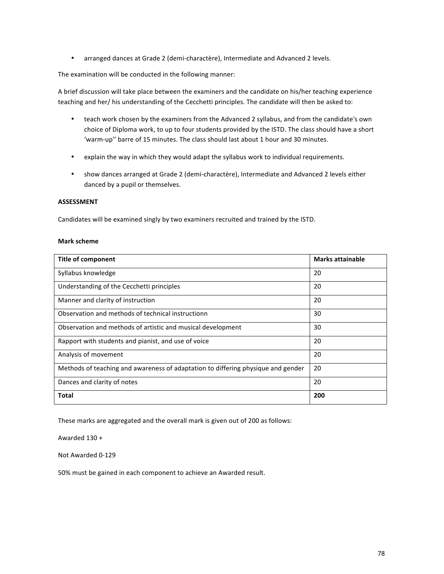• arranged dances at Grade 2 (demi-charactère), Intermediate and Advanced 2 levels.

The examination will be conducted in the following manner:

A brief discussion will take place between the examiners and the candidate on his/her teaching experience teaching and her/ his understanding of the Cecchetti principles. The candidate will then be asked to:

- teach work chosen by the examiners from the Advanced 2 syllabus, and from the candidate's own choice of Diploma work, to up to four students provided by the ISTD. The class should have a short 'warm-up" barre of 15 minutes. The class should last about 1 hour and 30 minutes.
- explain the way in which they would adapt the syllabus work to individual requirements.
- show dances arranged at Grade 2 (demi-charactère), Intermediate and Advanced 2 levels either danced by a pupil or themselves.

#### **ASSESSMENT**

Candidates will be examined singly by two examiners recruited and trained by the ISTD.

#### **Mark scheme**

| <b>Title of component</b>                                                        | <b>Marks attainable</b> |
|----------------------------------------------------------------------------------|-------------------------|
| Syllabus knowledge                                                               | 20                      |
| Understanding of the Cecchetti principles                                        | 20                      |
| Manner and clarity of instruction                                                | 20                      |
| Observation and methods of technical instructionn                                | 30                      |
| Observation and methods of artistic and musical development                      | 30                      |
| Rapport with students and pianist, and use of voice                              | 20                      |
| Analysis of movement                                                             | 20                      |
| Methods of teaching and awareness of adaptation to differing physique and gender | 20                      |
| Dances and clarity of notes                                                      | 20                      |
| <b>Total</b>                                                                     | 200                     |

These marks are aggregated and the overall mark is given out of 200 as follows:

Awarded 130 +

Not Awarded 0-129

50% must be gained in each component to achieve an Awarded result.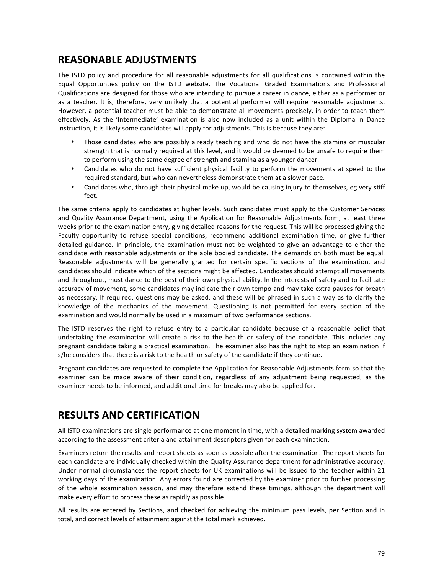## **REASONABLE ADJUSTMENTS**

The ISTD policy and procedure for all reasonable adjustments for all qualifications is contained within the Equal Opportunties policy on the ISTD website. The Vocational Graded Examinations and Professional Qualifications are designed for those who are intending to pursue a career in dance, either as a performer or as a teacher. It is, therefore, very unlikely that a potential performer will require reasonable adjustments. However, a potential teacher must be able to demonstrate all movements precisely, in order to teach them effectively. As the 'Intermediate' examination is also now included as a unit within the Diploma in Dance Instruction, it is likely some candidates will apply for adjustments. This is because they are:

- Those candidates who are possibly already teaching and who do not have the stamina or muscular strength that is normally required at this level, and it would be deemed to be unsafe to require them to perform using the same degree of strength and stamina as a younger dancer.
- Candidates who do not have sufficient physical facility to perform the movements at speed to the required standard, but who can nevertheless demonstrate them at a slower pace.
- Candidates who, through their physical make up, would be causing injury to themselves, eg very stiff feet.

The same criteria apply to candidates at higher levels. Such candidates must apply to the Customer Services and Quality Assurance Department, using the Application for Reasonable Adjustments form, at least three weeks prior to the examination entry, giving detailed reasons for the request. This will be processed giving the Faculty opportunity to refuse special conditions, recommend additional examination time, or give further detailed guidance. In principle, the examination must not be weighted to give an advantage to either the candidate with reasonable adjustments or the able bodied candidate. The demands on both must be equal. Reasonable adjustments will be generally granted for certain specific sections of the examination, and candidates should indicate which of the sections might be affected. Candidates should attempt all movements and throughout, must dance to the best of their own physical ability. In the interests of safety and to facilitate accuracy of movement, some candidates may indicate their own tempo and may take extra pauses for breath as necessary. If required, questions may be asked, and these will be phrased in such a way as to clarify the knowledge of the mechanics of the movement. Questioning is not permitted for every section of the examination and would normally be used in a maximum of two performance sections.

The ISTD reserves the right to refuse entry to a particular candidate because of a reasonable belief that undertaking the examination will create a risk to the health or safety of the candidate. This includes any pregnant candidate taking a practical examination. The examiner also has the right to stop an examination if s/he considers that there is a risk to the health or safety of the candidate if they continue.

Pregnant candidates are requested to complete the Application for Reasonable Adjustments form so that the examiner can be made aware of their condition, regardless of any adjustment being requested, as the examiner needs to be informed, and additional time for breaks may also be applied for.

## **RESULTS AND CERTIFICATION**

All ISTD examinations are single performance at one moment in time, with a detailed marking system awarded according to the assessment criteria and attainment descriptors given for each examination.

Examiners return the results and report sheets as soon as possible after the examination. The report sheets for each candidate are individually checked within the Quality Assurance department for administrative accuracy. Under normal circumstances the report sheets for UK examinations will be issued to the teacher within 21 working days of the examination. Any errors found are corrected by the examiner prior to further processing of the whole examination session, and may therefore extend these timings, although the department will make every effort to process these as rapidly as possible.

All results are entered by Sections, and checked for achieving the minimum pass levels, per Section and in total, and correct levels of attainment against the total mark achieved.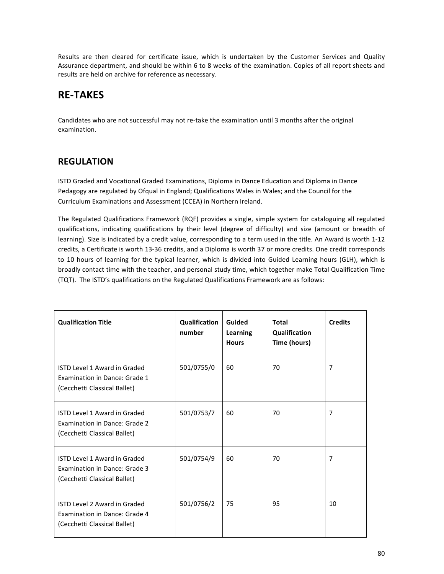Results are then cleared for certificate issue, which is undertaken by the Customer Services and Quality Assurance department, and should be within 6 to 8 weeks of the examination. Copies of all report sheets and results are held on archive for reference as necessary.

# **RE-TAKES**

Candidates who are not successful may not re-take the examination until 3 months after the original examination.

## **REGULATION**

ISTD Graded and Vocational Graded Examinations, Diploma in Dance Education and Diploma in Dance Pedagogy are regulated by Ofqual in England; Qualifications Wales in Wales; and the Council for the Curriculum Examinations and Assessment (CCEA) in Northern Ireland.

The Regulated Qualifications Framework (RQF) provides a single, simple system for cataloguing all regulated qualifications, indicating qualifications by their level (degree of difficulty) and size (amount or breadth of learning). Size is indicated by a credit value, corresponding to a term used in the title. An Award is worth 1-12 credits, a Certificate is worth 13-36 credits, and a Diploma is worth 37 or more credits. One credit corresponds to 10 hours of learning for the typical learner, which is divided into Guided Learning hours (GLH), which is broadly contact time with the teacher, and personal study time, which together make Total Qualification Time (TQT). The ISTD's qualifications on the Regulated Qualifications Framework are as follows:

| <b>Qualification Title</b>                                                                           | <b>Qualification</b><br>number | Guided<br>Learning<br><b>Hours</b> | Total<br>Qualification<br>Time (hours) | <b>Credits</b> |
|------------------------------------------------------------------------------------------------------|--------------------------------|------------------------------------|----------------------------------------|----------------|
| ISTD Level 1 Award in Graded<br><b>Examination in Dance: Grade 1</b><br>(Cecchetti Classical Ballet) | 501/0755/0                     | 60                                 | 70                                     | 7              |
| <b>ISTD Level 1 Award in Graded</b><br>Examination in Dance: Grade 2<br>(Cecchetti Classical Ballet) | 501/0753/7                     | 60                                 | 70                                     | $\overline{7}$ |
| <b>ISTD Level 1 Award in Graded</b><br>Examination in Dance: Grade 3<br>(Cecchetti Classical Ballet) | 501/0754/9                     | 60                                 | 70                                     | $\overline{7}$ |
| ISTD Level 2 Award in Graded<br>Examination in Dance: Grade 4<br>(Cecchetti Classical Ballet)        | 501/0756/2                     | 75                                 | 95                                     | 10             |